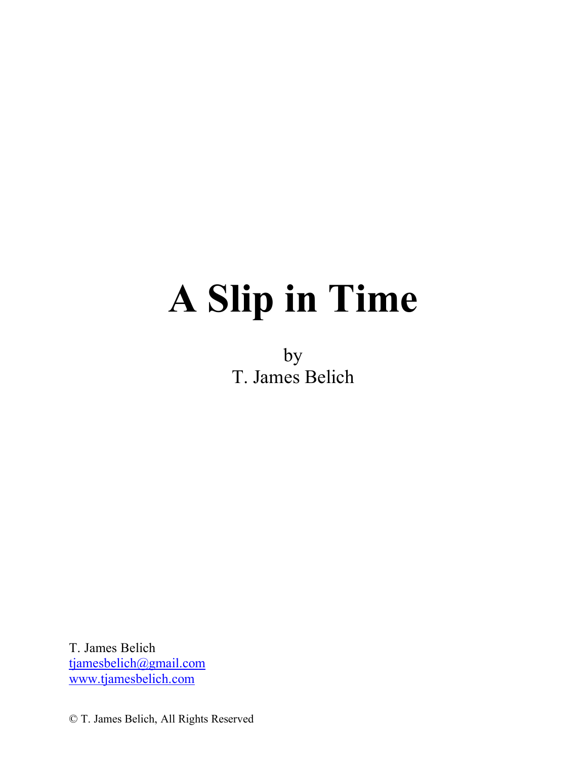# **A Slip in Time**

by T. James Belich

T. James Belich tjamesbelich@gmail.com www.tjamesbelich.com

© T. James Belich, All Rights Reserved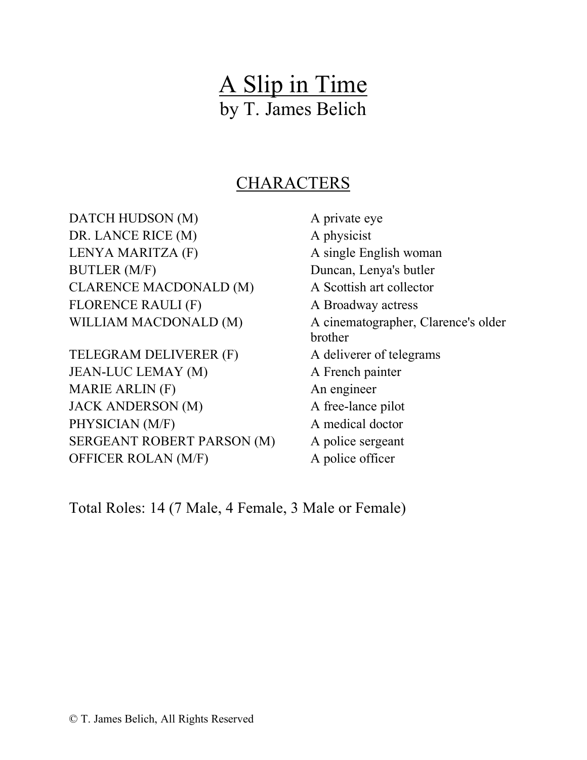# A Slip in Time by T. James Belich

# CHARACTERS

DATCH HUDSON (M) A private eye DR. LANCE RICE (M) A physicist LENYA MARITZA (F) A single English woman BUTLER (M/F) Duncan, Lenya's butler CLARENCE MACDONALD (M) A Scottish art collector FLORENCE RAULI (F) A Broadway actress

TELEGRAM DELIVERER (F) A deliverer of telegrams JEAN-LUC LEMAY (M) A French painter MARIE ARLIN (F) An engineer JACK ANDERSON (M) A free-lance pilot PHYSICIAN (M/F) A medical doctor SERGEANT ROBERT PARSON (M) A police sergeant OFFICER ROLAN (M/F) A police officer

WILLIAM MACDONALD (M) A cinematographer, Clarence's older brother

Total Roles: 14 (7 Male, 4 Female, 3 Male or Female)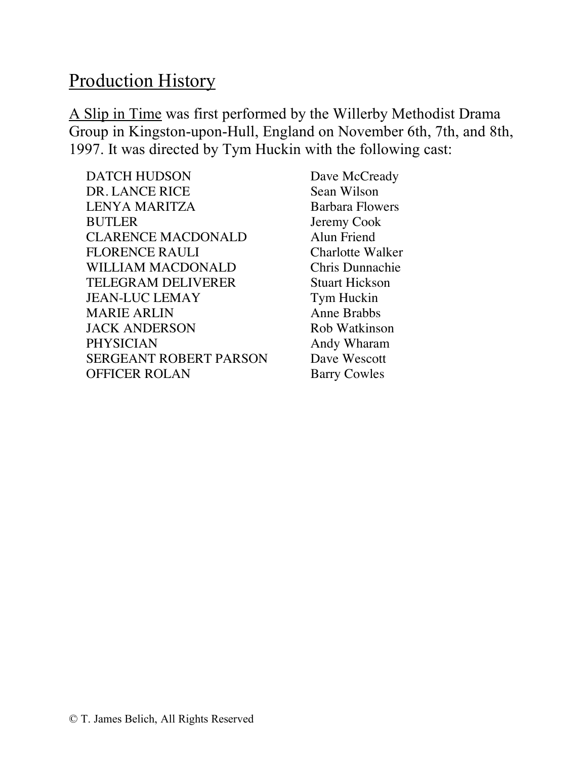# Production History

A Slip in Time was first performed by the Willerby Methodist Drama Group in Kingston-upon-Hull, England on November 6th, 7th, and 8th, 1997. It was directed by Tym Huckin with the following cast:

DATCH HUDSON Dave McCready DR. LANCE RICE Sean Wilson LENYA MARITZA Barbara Flowers BUTLER Jeremy Cook CLARENCE MACDONALD Alun Friend FLORENCE RAULI Charlotte Walker WILLIAM MACDONALD Chris Dunnachie TELEGRAM DELIVERER Stuart Hickson JEAN-LUC LEMAY Tym Huckin MARIE ARLIN Anne Brabbs JACK ANDERSON Rob Watkinson PHYSICIAN Andy Wharam SERGEANT ROBERT PARSON Dave Wescott OFFICER ROLAN Barry Cowles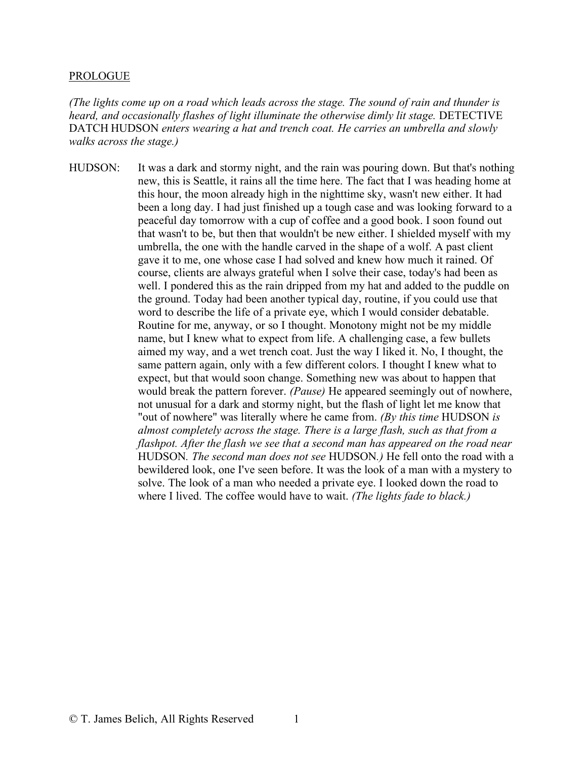#### PROLOGUE

*(The lights come up on a road which leads across the stage. The sound of rain and thunder is heard, and occasionally flashes of light illuminate the otherwise dimly lit stage.* DETECTIVE DATCH HUDSON *enters wearing a hat and trench coat. He carries an umbrella and slowly walks across the stage.)*

HUDSON: It was a dark and stormy night, and the rain was pouring down. But that's nothing new, this is Seattle, it rains all the time here. The fact that I was heading home at this hour, the moon already high in the nighttime sky, wasn't new either. It had been a long day. I had just finished up a tough case and was looking forward to a peaceful day tomorrow with a cup of coffee and a good book. I soon found out that wasn't to be, but then that wouldn't be new either. I shielded myself with my umbrella, the one with the handle carved in the shape of a wolf. A past client gave it to me, one whose case I had solved and knew how much it rained. Of course, clients are always grateful when I solve their case, today's had been as well. I pondered this as the rain dripped from my hat and added to the puddle on the ground. Today had been another typical day, routine, if you could use that word to describe the life of a private eye, which I would consider debatable. Routine for me, anyway, or so I thought. Monotony might not be my middle name, but I knew what to expect from life. A challenging case, a few bullets aimed my way, and a wet trench coat. Just the way I liked it. No, I thought, the same pattern again, only with a few different colors. I thought I knew what to expect, but that would soon change. Something new was about to happen that would break the pattern forever. *(Pause)* He appeared seemingly out of nowhere, not unusual for a dark and stormy night, but the flash of light let me know that "out of nowhere" was literally where he came from. *(By this time* HUDSON *is almost completely across the stage. There is a large flash, such as that from a flashpot. After the flash we see that a second man has appeared on the road near*  HUDSON*. The second man does not see* HUDSON*.)* He fell onto the road with a bewildered look, one I've seen before. It was the look of a man with a mystery to solve. The look of a man who needed a private eye. I looked down the road to where I lived. The coffee would have to wait. *(The lights fade to black.)*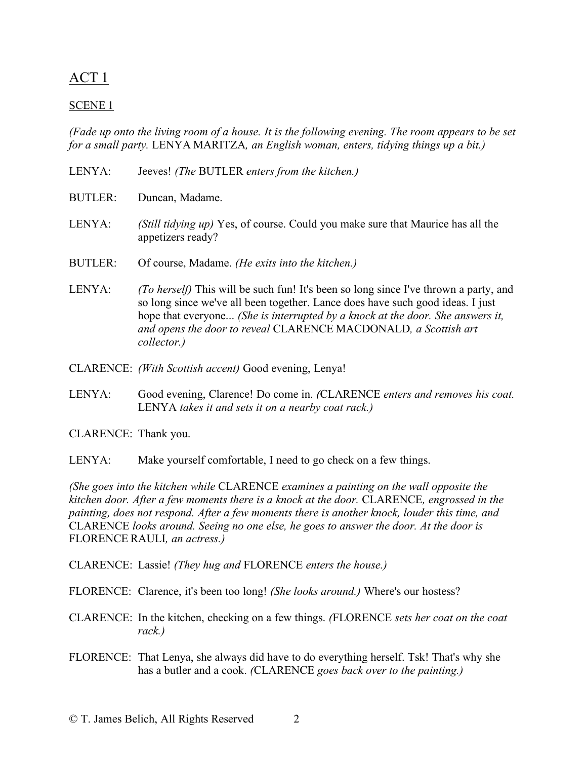## ACT 1

## SCENE 1

*(Fade up onto the living room of a house. It is the following evening. The room appears to be set for a small party.* LENYA MARITZA*, an English woman, enters, tidying things up a bit.)*

- LENYA: Jeeves! *(The* BUTLER *enters from the kitchen.)*
- BUTLER: Duncan, Madame.
- LENYA: *(Still tidying up)* Yes, of course. Could you make sure that Maurice has all the appetizers ready?
- BUTLER: Of course, Madame. *(He exits into the kitchen.)*
- LENYA: *(To herself)* This will be such fun! It's been so long since I've thrown a party, and so long since we've all been together. Lance does have such good ideas. I just hope that everyone... *(She is interrupted by a knock at the door. She answers it, and opens the door to reveal* CLARENCE MACDONALD*, a Scottish art collector.)*
- CLARENCE: *(With Scottish accent)* Good evening, Lenya!
- LENYA: Good evening, Clarence! Do come in. *(*CLARENCE *enters and removes his coat.* LENYA *takes it and sets it on a nearby coat rack.)*
- CLARENCE: Thank you.
- LENYA: Make yourself comfortable, I need to go check on a few things.

*(She goes into the kitchen while* CLARENCE *examines a painting on the wall opposite the kitchen door. After a few moments there is a knock at the door.* CLARENCE*, engrossed in the painting, does not respond. After a few moments there is another knock, louder this time, and*  CLARENCE *looks around. Seeing no one else, he goes to answer the door. At the door is*  FLORENCE RAULI*, an actress.)*

- CLARENCE: Lassie! *(They hug and* FLORENCE *enters the house.)*
- FLORENCE: Clarence, it's been too long! *(She looks around.)* Where's our hostess?
- CLARENCE: In the kitchen, checking on a few things. *(*FLORENCE *sets her coat on the coat rack.)*
- FLORENCE: That Lenya, she always did have to do everything herself. Tsk! That's why she has a butler and a cook. *(*CLARENCE *goes back over to the painting.)*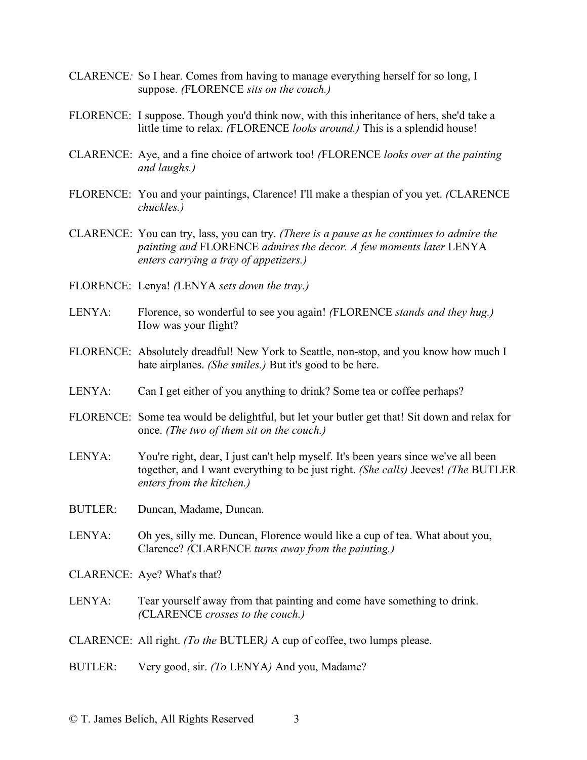- CLARENCE*:* So I hear. Comes from having to manage everything herself for so long, I suppose. *(*FLORENCE *sits on the couch.)*
- FLORENCE: I suppose. Though you'd think now, with this inheritance of hers, she'd take a little time to relax. *(*FLORENCE *looks around.)* This is a splendid house!
- CLARENCE: Aye, and a fine choice of artwork too! *(*FLORENCE *looks over at the painting and laughs.)*
- FLORENCE: You and your paintings, Clarence! I'll make a thespian of you yet. *(*CLARENCE *chuckles.)*
- CLARENCE: You can try, lass, you can try. *(There is a pause as he continues to admire the painting and* FLORENCE *admires the decor. A few moments later* LENYA *enters carrying a tray of appetizers.)*
- FLORENCE: Lenya! *(*LENYA *sets down the tray.)*
- LENYA: Florence, so wonderful to see you again! *(*FLORENCE *stands and they hug.)* How was your flight?
- FLORENCE: Absolutely dreadful! New York to Seattle, non-stop, and you know how much I hate airplanes. *(She smiles.)* But it's good to be here.
- LENYA: Can I get either of you anything to drink? Some tea or coffee perhaps?
- FLORENCE: Some tea would be delightful, but let your butler get that! Sit down and relax for once. *(The two of them sit on the couch.)*
- LENYA: You're right, dear, I just can't help myself. It's been years since we've all been together, and I want everything to be just right. *(She calls)* Jeeves! *(The* BUTLER *enters from the kitchen.)*
- BUTLER: Duncan, Madame, Duncan.
- LENYA: Oh yes, silly me. Duncan, Florence would like a cup of tea. What about you, Clarence? *(*CLARENCE *turns away from the painting.)*
- CLARENCE: Aye? What's that?
- LENYA: Tear yourself away from that painting and come have something to drink. *(*CLARENCE *crosses to the couch.)*
- CLARENCE: All right. *(To the* BUTLER*)* A cup of coffee, two lumps please.
- BUTLER: Very good, sir. *(To* LENYA*)* And you, Madame?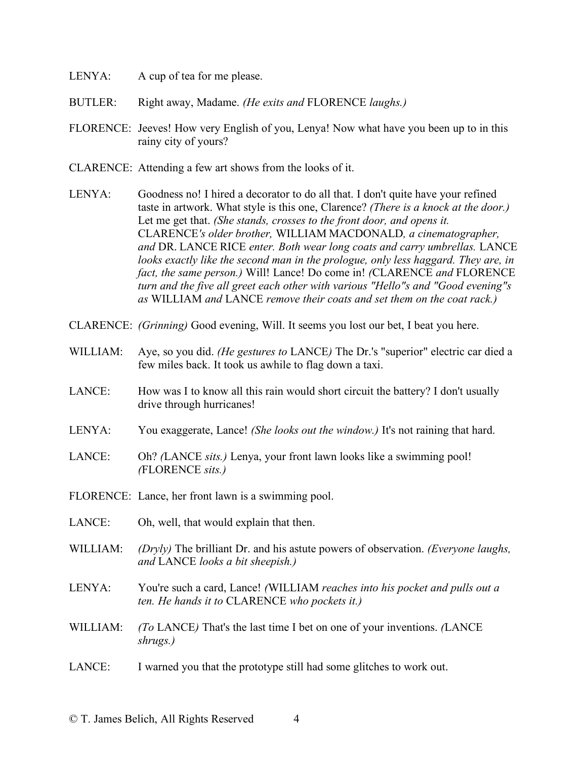- LENYA: A cup of tea for me please.
- BUTLER: Right away, Madame. *(He exits and* FLORENCE *laughs.)*
- FLORENCE: Jeeves! How very English of you, Lenya! Now what have you been up to in this rainy city of yours?
- CLARENCE: Attending a few art shows from the looks of it.
- LENYA: Goodness no! I hired a decorator to do all that. I don't quite have your refined taste in artwork. What style is this one, Clarence? *(There is a knock at the door.)* Let me get that. *(She stands, crosses to the front door, and opens it.* CLARENCE*'s older brother,* WILLIAM MACDONALD*, a cinematographer, and* DR. LANCE RICE *enter. Both wear long coats and carry umbrellas.* LANCE *looks exactly like the second man in the prologue, only less haggard. They are, in fact, the same person.)* Will! Lance! Do come in! *(*CLARENCE *and* FLORENCE *turn and the five all greet each other with various "Hello"s and "Good evening"s as* WILLIAM *and* LANCE *remove their coats and set them on the coat rack.)*
- CLARENCE: *(Grinning)* Good evening, Will. It seems you lost our bet, I beat you here.
- WILLIAM: Aye, so you did. *(He gestures to* LANCE) The Dr.'s "superior" electric car died a few miles back. It took us awhile to flag down a taxi.
- LANCE: How was I to know all this rain would short circuit the battery? I don't usually drive through hurricanes!
- LENYA: You exaggerate, Lance! *(She looks out the window.)* It's not raining that hard.
- LANCE: Oh? *(*LANCE *sits.)* Lenya, your front lawn looks like a swimming pool! *(*FLORENCE *sits.)*
- FLORENCE: Lance, her front lawn is a swimming pool.
- LANCE: Oh, well, that would explain that then.
- WILLIAM: *(Dryly)* The brilliant Dr. and his astute powers of observation. *(Everyone laughs, and* LANCE *looks a bit sheepish.)*
- LENYA: You're such a card, Lance! *(*WILLIAM *reaches into his pocket and pulls out a ten. He hands it to* CLARENCE *who pockets it.)*
- WILLIAM: *(To* LANCE*)* That's the last time I bet on one of your inventions. *(*LANCE *shrugs.)*
- LANCE: I warned you that the prototype still had some glitches to work out.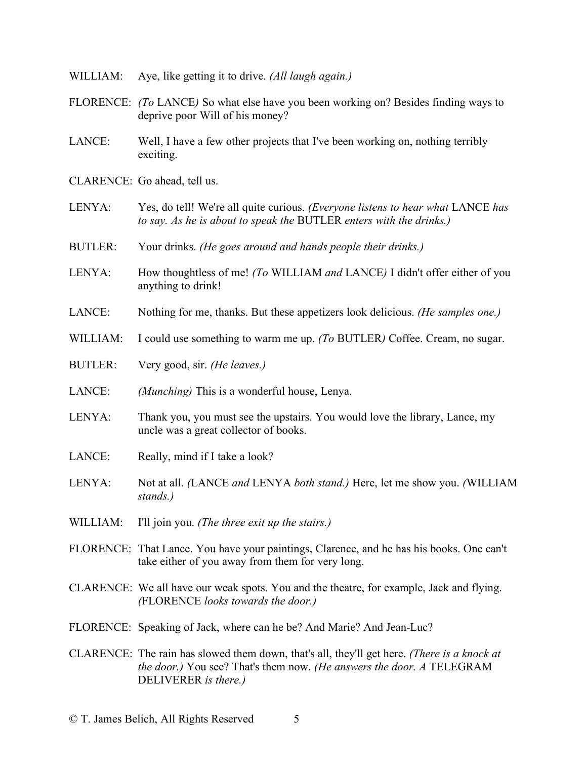- WILLIAM: Aye, like getting it to drive. *(All laugh again.)*
- FLORENCE: *(To* LANCE*)* So what else have you been working on? Besides finding ways to deprive poor Will of his money?
- LANCE: Well, I have a few other projects that I've been working on, nothing terribly exciting.
- CLARENCE: Go ahead, tell us.
- LENYA: Yes, do tell! We're all quite curious. *(Everyone listens to hear what* LANCE *has to say. As he is about to speak the* BUTLER *enters with the drinks.)*
- BUTLER: Your drinks. *(He goes around and hands people their drinks.)*
- LENYA: How thoughtless of me! *(To* WILLIAM *and* LANCE*)* I didn't offer either of you anything to drink!
- LANCE: Nothing for me, thanks. But these appetizers look delicious. *(He samples one.)*
- WILLIAM: I could use something to warm me up. *(To* BUTLER*)* Coffee. Cream, no sugar.
- BUTLER: Very good, sir. *(He leaves.)*
- LANCE: *(Munching)* This is a wonderful house, Lenya.
- LENYA: Thank you, you must see the upstairs. You would love the library, Lance, my uncle was a great collector of books.
- LANCE: Really, mind if I take a look?
- LENYA: Not at all. *(*LANCE *and* LENYA *both stand.)* Here, let me show you. *(*WILLIAM *stands.)*
- WILLIAM: I'll join you. *(The three exit up the stairs.)*
- FLORENCE: That Lance. You have your paintings, Clarence, and he has his books. One can't take either of you away from them for very long.
- CLARENCE: We all have our weak spots. You and the theatre, for example, Jack and flying. *(*FLORENCE *looks towards the door.)*
- FLORENCE: Speaking of Jack, where can he be? And Marie? And Jean-Luc?
- CLARENCE: The rain has slowed them down, that's all, they'll get here. *(There is a knock at the door.)* You see? That's them now. *(He answers the door. A* TELEGRAM DELIVERER *is there.)*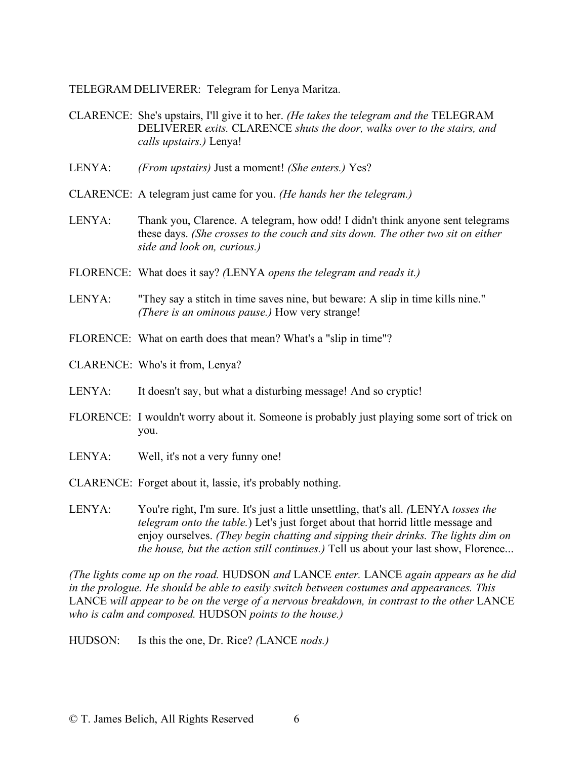TELEGRAM DELIVERER: Telegram for Lenya Maritza.

- CLARENCE: She's upstairs, I'll give it to her. *(He takes the telegram and the* TELEGRAM DELIVERER *exits.* CLARENCE *shuts the door, walks over to the stairs, and calls upstairs.)* Lenya!
- LENYA: *(From upstairs)* Just a moment! *(She enters.)* Yes?
- CLARENCE: A telegram just came for you. *(He hands her the telegram.)*
- LENYA: Thank you, Clarence. A telegram, how odd! I didn't think anyone sent telegrams these days. *(She crosses to the couch and sits down. The other two sit on either side and look on, curious.)*
- FLORENCE: What does it say? *(*LENYA *opens the telegram and reads it.)*
- LENYA: "They say a stitch in time saves nine, but beware: A slip in time kills nine." *(There is an ominous pause.)* How very strange!
- FLORENCE: What on earth does that mean? What's a "slip in time"?
- CLARENCE: Who's it from, Lenya?
- LENYA: It doesn't say, but what a disturbing message! And so cryptic!
- FLORENCE: I wouldn't worry about it. Someone is probably just playing some sort of trick on you.
- LENYA: Well, it's not a very funny one!
- CLARENCE: Forget about it, lassie, it's probably nothing.
- LENYA: You're right, I'm sure. It's just a little unsettling, that's all. *(*LENYA *tosses the telegram onto the table.*) Let's just forget about that horrid little message and enjoy ourselves. *(They begin chatting and sipping their drinks. The lights dim on the house, but the action still continues.)* Tell us about your last show, Florence...

*(The lights come up on the road.* HUDSON *and* LANCE *enter.* LANCE *again appears as he did in the prologue. He should be able to easily switch between costumes and appearances. This*  LANCE will appear to be on the verge of a nervous breakdown, in contrast to the other LANCE *who is calm and composed.* HUDSON *points to the house.)*

HUDSON: Is this the one, Dr. Rice? *(*LANCE *nods.)*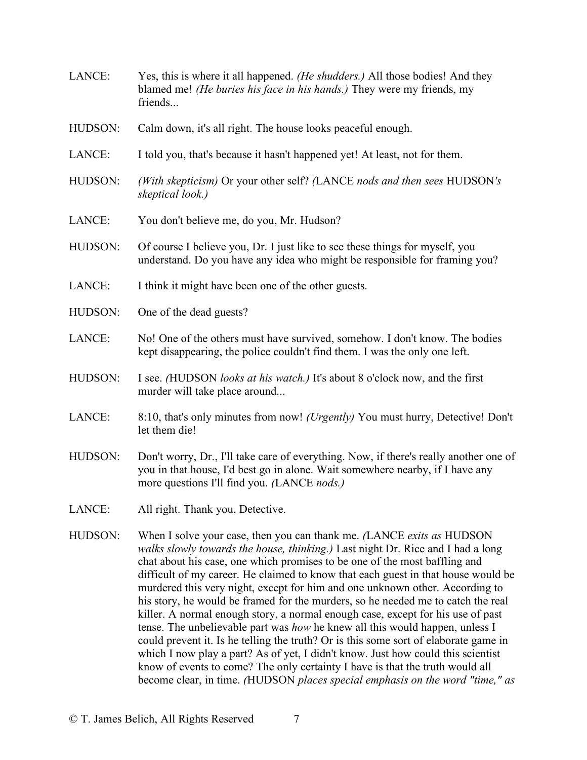LANCE: Yes, this is where it all happened. *(He shudders.)* All those bodies! And they blamed me! *(He buries his face in his hands.)* They were my friends, my **friends** HUDSON: Calm down, it's all right. The house looks peaceful enough. LANCE: I told you, that's because it hasn't happened yet! At least, not for them. HUDSON: *(With skepticism)* Or your other self? *(*LANCE *nods and then sees* HUDSON*'s skeptical look.)* LANCE: You don't believe me, do you, Mr. Hudson? HUDSON: Of course I believe you, Dr. I just like to see these things for myself, you understand. Do you have any idea who might be responsible for framing you? LANCE: I think it might have been one of the other guests. HUDSON: One of the dead guests? LANCE: No! One of the others must have survived, somehow. I don't know. The bodies kept disappearing, the police couldn't find them. I was the only one left. HUDSON: I see. *(*HUDSON *looks at his watch.)* It's about 8 o'clock now, and the first murder will take place around... LANCE: 8:10, that's only minutes from now! *(Urgently)* You must hurry, Detective! Don't let them die! HUDSON: Don't worry, Dr., I'll take care of everything. Now, if there's really another one of you in that house, I'd best go in alone. Wait somewhere nearby, if I have any more questions I'll find you. *(*LANCE *nods.)* LANCE: All right. Thank you, Detective. HUDSON: When I solve your case, then you can thank me. *(*LANCE *exits as* HUDSON *walks slowly towards the house, thinking.)* Last night Dr. Rice and I had a long chat about his case, one which promises to be one of the most baffling and difficult of my career. He claimed to know that each guest in that house would be murdered this very night, except for him and one unknown other. According to his story, he would be framed for the murders, so he needed me to catch the real killer. A normal enough story, a normal enough case, except for his use of past tense. The unbelievable part was *how* he knew all this would happen, unless I could prevent it. Is he telling the truth? Or is this some sort of elaborate game in which I now play a part? As of yet, I didn't know. Just how could this scientist know of events to come? The only certainty I have is that the truth would all

become clear, in time. *(*HUDSON *places special emphasis on the word "time," as*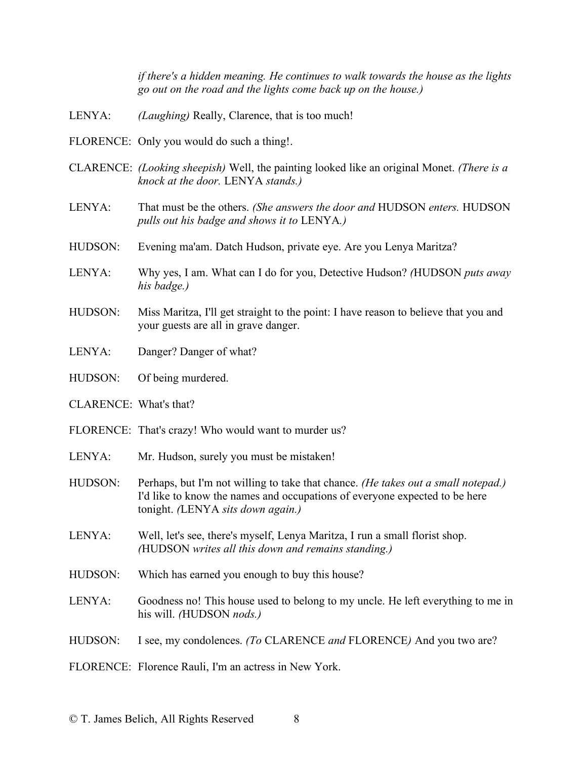*if there's a hidden meaning. He continues to walk towards the house as the lights go out on the road and the lights come back up on the house.)*

- LENYA: *(Laughing)* Really, Clarence, that is too much!
- FLORENCE: Only you would do such a thing!.
- CLARENCE: *(Looking sheepish)* Well, the painting looked like an original Monet. *(There is a knock at the door.* LENYA *stands.)*
- LENYA: That must be the others. *(She answers the door and* HUDSON *enters.* HUDSON *pulls out his badge and shows it to* LENYA*.)*
- HUDSON: Evening ma'am. Datch Hudson, private eye. Are you Lenya Maritza?
- LENYA: Why yes, I am. What can I do for you, Detective Hudson? *(*HUDSON *puts away his badge.)*
- HUDSON: Miss Maritza, I'll get straight to the point: I have reason to believe that you and your guests are all in grave danger.
- LENYA: Danger? Danger of what?
- HUDSON: Of being murdered.
- CLARENCE: What's that?
- FLORENCE: That's crazy! Who would want to murder us?
- LENYA: Mr. Hudson, surely you must be mistaken!
- HUDSON: Perhaps, but I'm not willing to take that chance. *(He takes out a small notepad.)* I'd like to know the names and occupations of everyone expected to be here tonight. *(*LENYA *sits down again.)*
- LENYA: Well, let's see, there's myself, Lenya Maritza, I run a small florist shop. *(*HUDSON *writes all this down and remains standing.)*
- HUDSON: Which has earned you enough to buy this house?
- LENYA: Goodness no! This house used to belong to my uncle. He left everything to me in his will. *(*HUDSON *nods.)*
- HUDSON: I see, my condolences. *(To* CLARENCE *and* FLORENCE*)* And you two are?
- FLORENCE: Florence Rauli, I'm an actress in New York.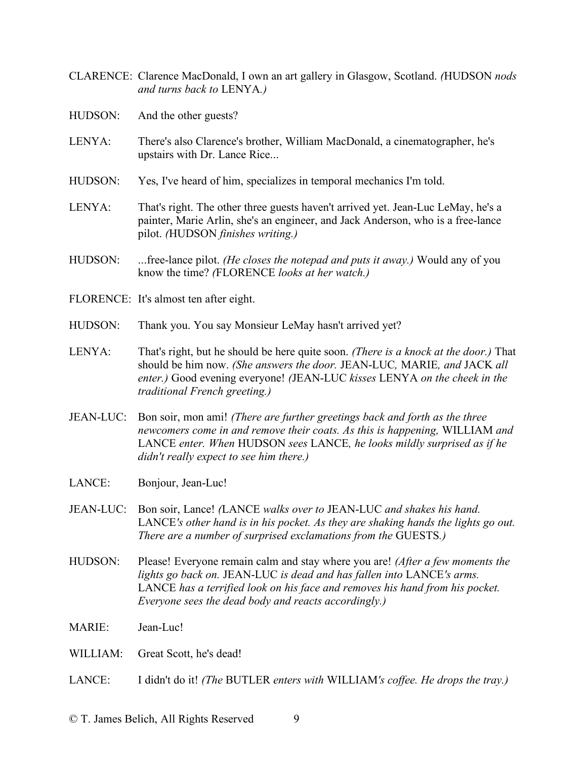- CLARENCE: Clarence MacDonald, I own an art gallery in Glasgow, Scotland. *(*HUDSON *nods and turns back to* LENYA*.)*
- HUDSON: And the other guests?
- LENYA: There's also Clarence's brother, William MacDonald, a cinematographer, he's upstairs with Dr. Lance Rice...
- HUDSON: Yes, I've heard of him, specializes in temporal mechanics I'm told.
- LENYA: That's right. The other three guests haven't arrived yet. Jean-Luc LeMay, he's a painter, Marie Arlin, she's an engineer, and Jack Anderson, who is a free-lance pilot. *(*HUDSON *finishes writing.)*
- HUDSON: ...free-lance pilot. *(He closes the notepad and puts it away.)* Would any of you know the time? *(*FLORENCE *looks at her watch.)*
- FLORENCE: It's almost ten after eight.
- HUDSON: Thank you. You say Monsieur LeMay hasn't arrived yet?
- LENYA: That's right, but he should be here quite soon. *(There is a knock at the door.)* That should be him now. *(She answers the door.* JEAN-LUC*,* MARIE*, and* JACK *all enter.)* Good evening everyone! *(*JEAN-LUC *kisses* LENYA *on the cheek in the traditional French greeting.)*
- JEAN-LUC: Bon soir, mon ami! *(There are further greetings back and forth as the three newcomers come in and remove their coats. As this is happening,* WILLIAM *and*  LANCE *enter. When* HUDSON *sees* LANCE*, he looks mildly surprised as if he didn't really expect to see him there.)*
- LANCE: Bonjour, Jean-Luc!
- JEAN-LUC: Bon soir, Lance! *(*LANCE *walks over to* JEAN-LUC *and shakes his hand.* LANCE*'s other hand is in his pocket. As they are shaking hands the lights go out. There are a number of surprised exclamations from the* GUESTS*.)*
- HUDSON: Please! Everyone remain calm and stay where you are! *(After a few moments the lights go back on.* JEAN-LUC *is dead and has fallen into* LANCE*'s arms.* LANCE *has a terrified look on his face and removes his hand from his pocket. Everyone sees the dead body and reacts accordingly.)*
- MARIE: Jean-Luc!
- WILLIAM: Great Scott, he's dead!
- LANCE: I didn't do it! *(The* BUTLER *enters with* WILLIAM*'s coffee. He drops the tray.)*

© T. James Belich, All Rights Reserved 9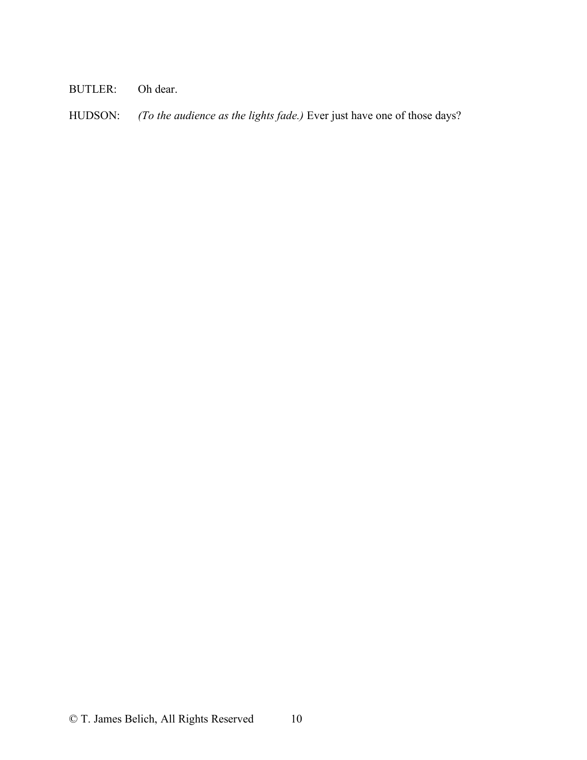## BUTLER: Oh dear.

HUDSON: *(To the audience as the lights fade.)* Ever just have one of those days?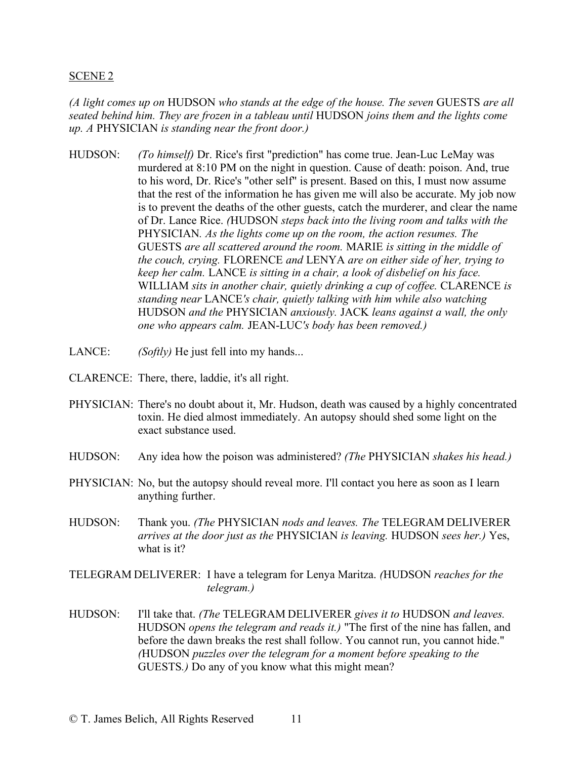#### SCENE 2

*(A light comes up on* HUDSON *who stands at the edge of the house. The seven* GUESTS *are all seated behind him. They are frozen in a tableau until* HUDSON *joins them and the lights come up. A* PHYSICIAN *is standing near the front door.)*

- HUDSON: *(To himself)* Dr. Rice's first "prediction" has come true. Jean-Luc LeMay was murdered at 8:10 PM on the night in question. Cause of death: poison. And, true to his word, Dr. Rice's "other self" is present. Based on this, I must now assume that the rest of the information he has given me will also be accurate. My job now is to prevent the deaths of the other guests, catch the murderer, and clear the name of Dr. Lance Rice. *(*HUDSON *steps back into the living room and talks with the*  PHYSICIAN*. As the lights come up on the room, the action resumes. The*  GUESTS *are all scattered around the room.* MARIE *is sitting in the middle of the couch, crying.* FLORENCE *and* LENYA *are on either side of her, trying to keep her calm.* LANCE *is sitting in a chair, a look of disbelief on his face.* WILLIAM *sits in another chair, quietly drinking a cup of coffee.* CLARENCE *is standing near* LANCE*'s chair, quietly talking with him while also watching*  HUDSON *and the* PHYSICIAN *anxiously.* JACK *leans against a wall, the only one who appears calm.* JEAN-LUC*'s body has been removed.)*
- LANCE: *(Softly)* He just fell into my hands...
- CLARENCE: There, there, laddie, it's all right.
- PHYSICIAN: There's no doubt about it, Mr. Hudson, death was caused by a highly concentrated toxin. He died almost immediately. An autopsy should shed some light on the exact substance used.
- HUDSON: Any idea how the poison was administered? *(The* PHYSICIAN *shakes his head.)*
- PHYSICIAN: No, but the autopsy should reveal more. I'll contact you here as soon as I learn anything further.
- HUDSON: Thank you. *(The* PHYSICIAN *nods and leaves. The* TELEGRAM DELIVERER *arrives at the door just as the* PHYSICIAN *is leaving.* HUDSON *sees her.)* Yes, what is it?

TELEGRAM DELIVERER: I have a telegram for Lenya Maritza. *(*HUDSON *reaches for the telegram.)*

HUDSON: I'll take that. *(The* TELEGRAM DELIVERER *gives it to* HUDSON *and leaves.* HUDSON *opens the telegram and reads it.)* "The first of the nine has fallen, and before the dawn breaks the rest shall follow. You cannot run, you cannot hide." *(*HUDSON *puzzles over the telegram for a moment before speaking to the*  GUESTS*.)* Do any of you know what this might mean?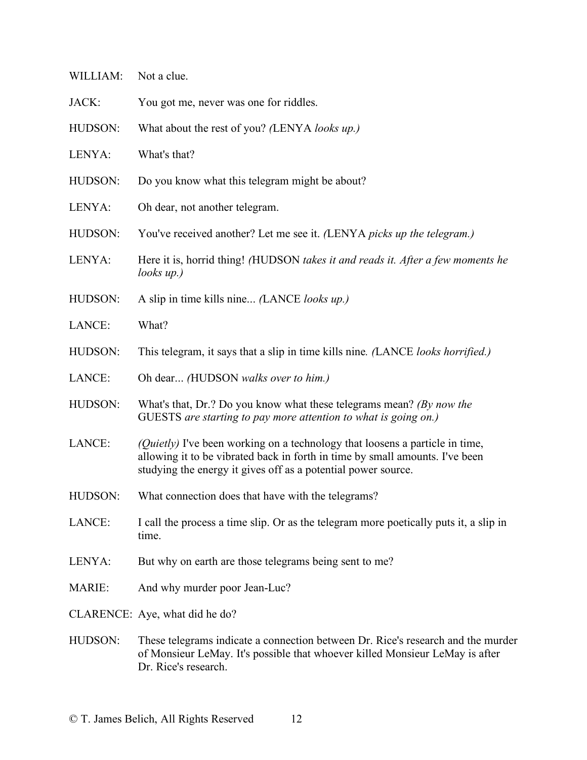| WILLIAM:      | Not a clue.                                                                                                                                                                                                                          |
|---------------|--------------------------------------------------------------------------------------------------------------------------------------------------------------------------------------------------------------------------------------|
| JACK:         | You got me, never was one for riddles.                                                                                                                                                                                               |
| HUDSON:       | What about the rest of you? (LENYA looks up.)                                                                                                                                                                                        |
| LENYA:        | What's that?                                                                                                                                                                                                                         |
| HUDSON:       | Do you know what this telegram might be about?                                                                                                                                                                                       |
| LENYA:        | Oh dear, not another telegram.                                                                                                                                                                                                       |
| HUDSON:       | You've received another? Let me see it. (LENYA picks up the telegram.)                                                                                                                                                               |
| LENYA:        | Here it is, horrid thing! (HUDSON takes it and reads it. After a few moments he<br>$looks$ up.)                                                                                                                                      |
| HUDSON:       | A slip in time kills nine (LANCE looks up.)                                                                                                                                                                                          |
| LANCE:        | What?                                                                                                                                                                                                                                |
| HUDSON:       | This telegram, it says that a slip in time kills nine. (LANCE looks horrified.)                                                                                                                                                      |
| LANCE:        | Oh dear (HUDSON walks over to him.)                                                                                                                                                                                                  |
| HUDSON:       | What's that, Dr.? Do you know what these telegrams mean? (By now the<br>GUESTS are starting to pay more attention to what is going on.)                                                                                              |
| LANCE:        | <i>(Quietly)</i> I've been working on a technology that loosens a particle in time,<br>allowing it to be vibrated back in forth in time by small amounts. I've been<br>studying the energy it gives off as a potential power source. |
| HUDSON:       | What connection does that have with the telegrams?                                                                                                                                                                                   |
| LANCE:        | I call the process a time slip. Or as the telegram more poetically puts it, a slip in<br>time.                                                                                                                                       |
| LENYA:        | But why on earth are those telegrams being sent to me?                                                                                                                                                                               |
| <b>MARIE:</b> | And why murder poor Jean-Luc?                                                                                                                                                                                                        |
|               | CLARENCE: Aye, what did he do?                                                                                                                                                                                                       |
| HUDSON:       | These telegrams indicate a connection between Dr. Rice's research and the murder<br>of Monsieur LeMay. It's possible that whoever killed Monsieur LeMay is after<br>Dr. Rice's research.                                             |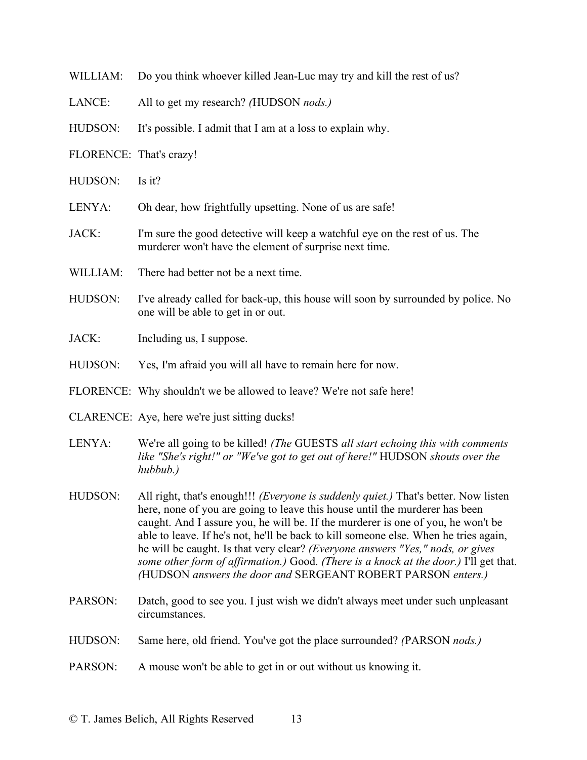| WILLIAM:                | Do you think whoever killed Jean-Luc may try and kill the rest of us?                                                                                                                                                                                                                                                                                                                                                                                                                                                                                                                            |
|-------------------------|--------------------------------------------------------------------------------------------------------------------------------------------------------------------------------------------------------------------------------------------------------------------------------------------------------------------------------------------------------------------------------------------------------------------------------------------------------------------------------------------------------------------------------------------------------------------------------------------------|
| LANCE:                  | All to get my research? (HUDSON nods.)                                                                                                                                                                                                                                                                                                                                                                                                                                                                                                                                                           |
| HUDSON:                 | It's possible. I admit that I am at a loss to explain why.                                                                                                                                                                                                                                                                                                                                                                                                                                                                                                                                       |
| FLORENCE: That's crazy! |                                                                                                                                                                                                                                                                                                                                                                                                                                                                                                                                                                                                  |
| HUDSON:                 | Is it?                                                                                                                                                                                                                                                                                                                                                                                                                                                                                                                                                                                           |
| LENYA:                  | Oh dear, how frightfully upsetting. None of us are safe!                                                                                                                                                                                                                                                                                                                                                                                                                                                                                                                                         |
| JACK:                   | I'm sure the good detective will keep a watchful eye on the rest of us. The<br>murderer won't have the element of surprise next time.                                                                                                                                                                                                                                                                                                                                                                                                                                                            |
| WILLIAM:                | There had better not be a next time.                                                                                                                                                                                                                                                                                                                                                                                                                                                                                                                                                             |
| HUDSON:                 | I've already called for back-up, this house will soon by surrounded by police. No<br>one will be able to get in or out.                                                                                                                                                                                                                                                                                                                                                                                                                                                                          |
| JACK:                   | Including us, I suppose.                                                                                                                                                                                                                                                                                                                                                                                                                                                                                                                                                                         |
| HUDSON:                 | Yes, I'm afraid you will all have to remain here for now.                                                                                                                                                                                                                                                                                                                                                                                                                                                                                                                                        |
|                         | FLORENCE: Why shouldn't we be allowed to leave? We're not safe here!                                                                                                                                                                                                                                                                                                                                                                                                                                                                                                                             |
|                         | CLARENCE: Aye, here we're just sitting ducks!                                                                                                                                                                                                                                                                                                                                                                                                                                                                                                                                                    |
| LENYA:                  | We're all going to be killed! (The GUESTS all start echoing this with comments<br>like "She's right!" or "We've got to get out of here!" HUDSON shouts over the<br>hubbub.                                                                                                                                                                                                                                                                                                                                                                                                                       |
| HUDSON:                 | All right, that's enough!!! <i>(Everyone is suddenly quiet.)</i> That's better. Now listen<br>here, none of you are going to leave this house until the murderer has been<br>caught. And I assure you, he will be. If the murderer is one of you, he won't be<br>able to leave. If he's not, he'll be back to kill someone else. When he tries again,<br>he will be caught. Is that very clear? (Everyone answers "Yes," nods, or gives<br>some other form of affirmation.) Good. (There is a knock at the door.) I'll get that.<br>(HUDSON answers the door and SERGEANT ROBERT PARSON enters.) |

- PARSON: Datch, good to see you. I just wish we didn't always meet under such unpleasant circumstances.
- HUDSON: Same here, old friend. You've got the place surrounded? *(*PARSON *nods.)*
- PARSON: A mouse won't be able to get in or out without us knowing it.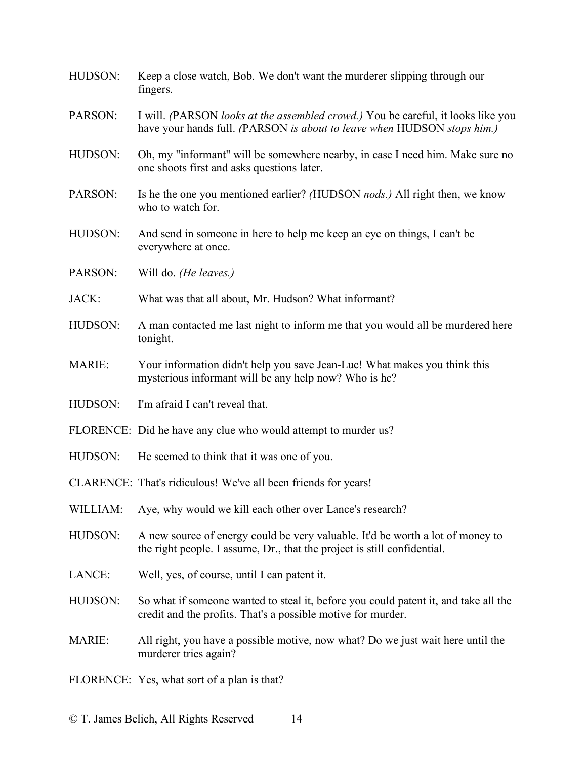| HUDSON:       | Keep a close watch, Bob. We don't want the murderer slipping through our<br>fingers.                                                                        |
|---------------|-------------------------------------------------------------------------------------------------------------------------------------------------------------|
| PARSON:       | I will. (PARSON looks at the assembled crowd.) You be careful, it looks like you<br>have your hands full. (PARSON is about to leave when HUDSON stops him.) |
| HUDSON:       | Oh, my "informant" will be somewhere nearby, in case I need him. Make sure no<br>one shoots first and asks questions later.                                 |
| PARSON:       | Is he the one you mentioned earlier? (HUDSON <i>nods.</i> ) All right then, we know<br>who to watch for.                                                    |
| HUDSON:       | And send in someone in here to help me keep an eye on things, I can't be<br>everywhere at once.                                                             |
| PARSON:       | Will do. <i>(He leaves.)</i>                                                                                                                                |
| JACK:         | What was that all about, Mr. Hudson? What informant?                                                                                                        |
| HUDSON:       | A man contacted me last night to inform me that you would all be murdered here<br>tonight.                                                                  |
| <b>MARIE:</b> | Your information didn't help you save Jean-Luc! What makes you think this<br>mysterious informant will be any help now? Who is he?                          |
| HUDSON:       | I'm afraid I can't reveal that.                                                                                                                             |
|               | FLORENCE: Did he have any clue who would attempt to murder us?                                                                                              |
| HUDSON:       | He seemed to think that it was one of you.                                                                                                                  |
|               | CLARENCE: That's ridiculous! We've all been friends for years!                                                                                              |
| WILLIAM:      | Aye, why would we kill each other over Lance's research?                                                                                                    |
| HUDSON:       | A new source of energy could be very valuable. It'd be worth a lot of money to<br>the right people. I assume, Dr., that the project is still confidential.  |
| LANCE:        | Well, yes, of course, until I can patent it.                                                                                                                |
| HUDSON:       | So what if someone wanted to steal it, before you could patent it, and take all the<br>credit and the profits. That's a possible motive for murder.         |
| <b>MARIE:</b> | All right, you have a possible motive, now what? Do we just wait here until the<br>murderer tries again?                                                    |
|               | FLORENCE: Yes, what sort of a plan is that?                                                                                                                 |
|               |                                                                                                                                                             |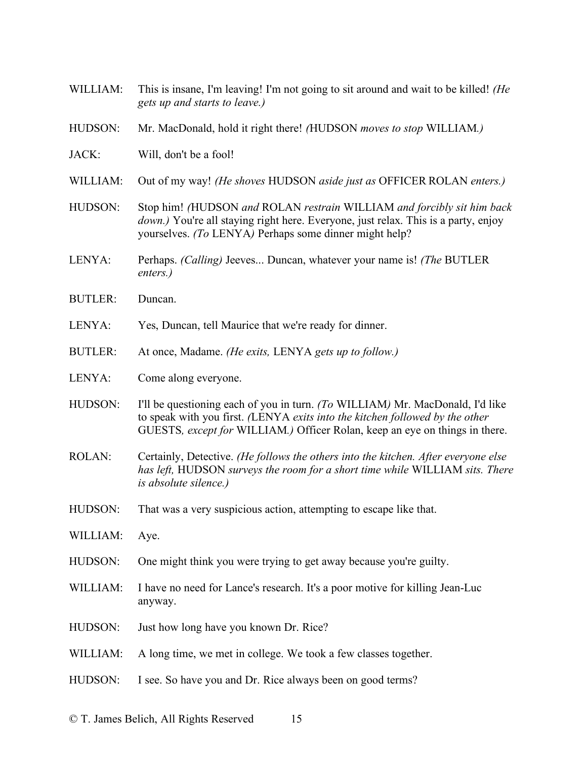| WILLIAM:       | This is insane, I'm leaving! I'm not going to sit around and wait to be killed! (He<br>gets up and starts to leave.)                                                                                                                         |
|----------------|----------------------------------------------------------------------------------------------------------------------------------------------------------------------------------------------------------------------------------------------|
| HUDSON:        | Mr. MacDonald, hold it right there! (HUDSON moves to stop WILLIAM.)                                                                                                                                                                          |
| JACK:          | Will, don't be a fool!                                                                                                                                                                                                                       |
| WILLIAM:       | Out of my way! (He shoves HUDSON aside just as OFFICER ROLAN enters.)                                                                                                                                                                        |
| HUDSON:        | Stop him! (HUDSON and ROLAN restrain WILLIAM and forcibly sit him back<br><i>down.</i> ) You're all staying right here. Everyone, just relax. This is a party, enjoy<br>yourselves. (To LENYA) Perhaps some dinner might help?               |
| LENYA:         | Perhaps. (Calling) Jeeves Duncan, whatever your name is! (The BUTLER<br>enters.)                                                                                                                                                             |
| <b>BUTLER:</b> | Duncan.                                                                                                                                                                                                                                      |
| LENYA:         | Yes, Duncan, tell Maurice that we're ready for dinner.                                                                                                                                                                                       |
| <b>BUTLER:</b> | At once, Madame. (He exits, LENYA gets up to follow.)                                                                                                                                                                                        |
| LENYA:         | Come along everyone.                                                                                                                                                                                                                         |
| HUDSON:        | I'll be questioning each of you in turn. (To WILLIAM) Mr. MacDonald, I'd like<br>to speak with you first. (LENYA exits into the kitchen followed by the other<br>GUESTS, except for WILLIAM.) Officer Rolan, keep an eye on things in there. |
| <b>ROLAN:</b>  | Certainly, Detective. (He follows the others into the kitchen. After everyone else<br>has left, HUDSON surveys the room for a short time while WILLIAM sits. There<br><i>is absolute silence.)</i>                                           |
| HUDSON:        | That was a very suspicious action, attempting to escape like that.                                                                                                                                                                           |
| WILLIAM:       | Aye.                                                                                                                                                                                                                                         |
| HUDSON:        | One might think you were trying to get away because you're guilty.                                                                                                                                                                           |
| WILLIAM:       | I have no need for Lance's research. It's a poor motive for killing Jean-Luc<br>anyway.                                                                                                                                                      |
| HUDSON:        | Just how long have you known Dr. Rice?                                                                                                                                                                                                       |
| WILLIAM:       | A long time, we met in college. We took a few classes together.                                                                                                                                                                              |
| HUDSON:        | I see. So have you and Dr. Rice always been on good terms?                                                                                                                                                                                   |
|                |                                                                                                                                                                                                                                              |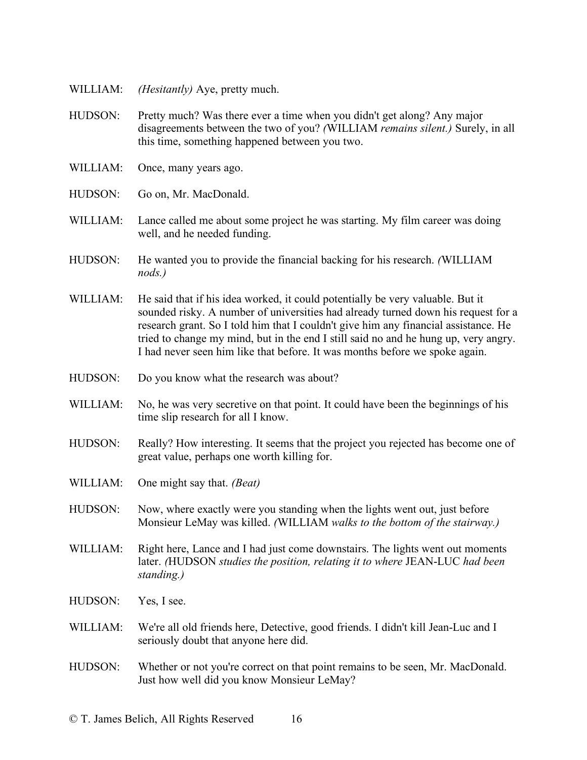- WILLIAM: *(Hesitantly)* Aye, pretty much.
- HUDSON: Pretty much? Was there ever a time when you didn't get along? Any major disagreements between the two of you? *(*WILLIAM *remains silent.)* Surely, in all this time, something happened between you two.
- WILLIAM: Once, many years ago.
- HUDSON: Go on, Mr. MacDonald.
- WILLIAM: Lance called me about some project he was starting. My film career was doing well, and he needed funding.
- HUDSON: He wanted you to provide the financial backing for his research. *(*WILLIAM *nods.)*
- WILLIAM: He said that if his idea worked, it could potentially be very valuable. But it sounded risky. A number of universities had already turned down his request for a research grant. So I told him that I couldn't give him any financial assistance. He tried to change my mind, but in the end I still said no and he hung up, very angry. I had never seen him like that before. It was months before we spoke again.
- HUDSON: Do you know what the research was about?
- WILLIAM: No, he was very secretive on that point. It could have been the beginnings of his time slip research for all I know.
- HUDSON: Really? How interesting. It seems that the project you rejected has become one of great value, perhaps one worth killing for.
- WILLIAM: One might say that. *(Beat)*
- HUDSON: Now, where exactly were you standing when the lights went out, just before Monsieur LeMay was killed. *(*WILLIAM *walks to the bottom of the stairway.)*
- WILLIAM: Right here, Lance and I had just come downstairs. The lights went out moments later. *(*HUDSON *studies the position, relating it to where* JEAN-LUC *had been standing.)*
- HUDSON: Yes, I see.
- WILLIAM: We're all old friends here, Detective, good friends. I didn't kill Jean-Luc and I seriously doubt that anyone here did.
- HUDSON: Whether or not you're correct on that point remains to be seen, Mr. MacDonald. Just how well did you know Monsieur LeMay?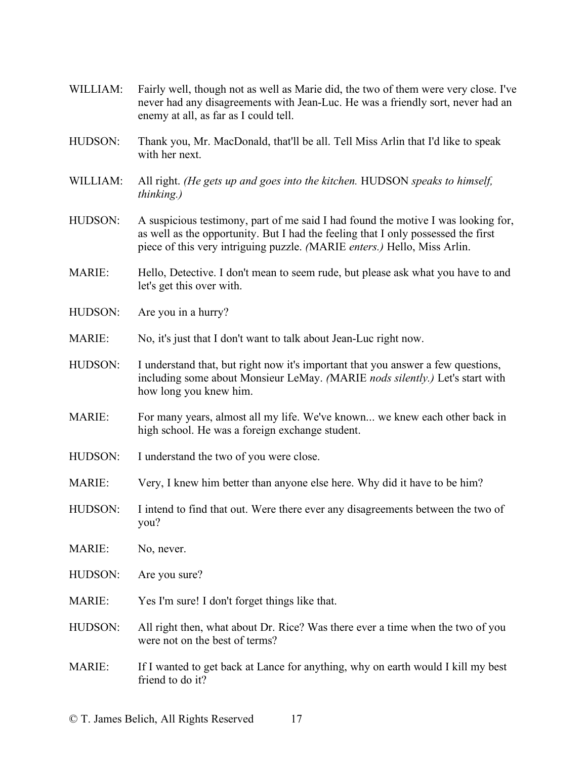- WILLIAM: Fairly well, though not as well as Marie did, the two of them were very close. I've never had any disagreements with Jean-Luc. He was a friendly sort, never had an enemy at all, as far as I could tell.
- HUDSON: Thank you, Mr. MacDonald, that'll be all. Tell Miss Arlin that I'd like to speak with her next.
- WILLIAM: All right. *(He gets up and goes into the kitchen.* HUDSON *speaks to himself, thinking.)*
- HUDSON: A suspicious testimony, part of me said I had found the motive I was looking for, as well as the opportunity. But I had the feeling that I only possessed the first piece of this very intriguing puzzle. *(*MARIE *enters.)* Hello, Miss Arlin.
- MARIE: Hello, Detective. I don't mean to seem rude, but please ask what you have to and let's get this over with.
- HUDSON: Are you in a hurry?
- MARIE: No, it's just that I don't want to talk about Jean-Luc right now.
- HUDSON: I understand that, but right now it's important that you answer a few questions, including some about Monsieur LeMay. *(*MARIE *nods silently.)* Let's start with how long you knew him.
- MARIE: For many years, almost all my life. We've known... we knew each other back in high school. He was a foreign exchange student.
- HUDSON: I understand the two of you were close.
- MARIE: Very, I knew him better than anyone else here. Why did it have to be him?
- HUDSON: I intend to find that out. Were there ever any disagreements between the two of you?
- MARIE: No, never.
- HUDSON: Are you sure?
- MARIE: Yes I'm sure! I don't forget things like that.
- HUDSON: All right then, what about Dr. Rice? Was there ever a time when the two of you were not on the best of terms?
- MARIE: If I wanted to get back at Lance for anything, why on earth would I kill my best friend to do it?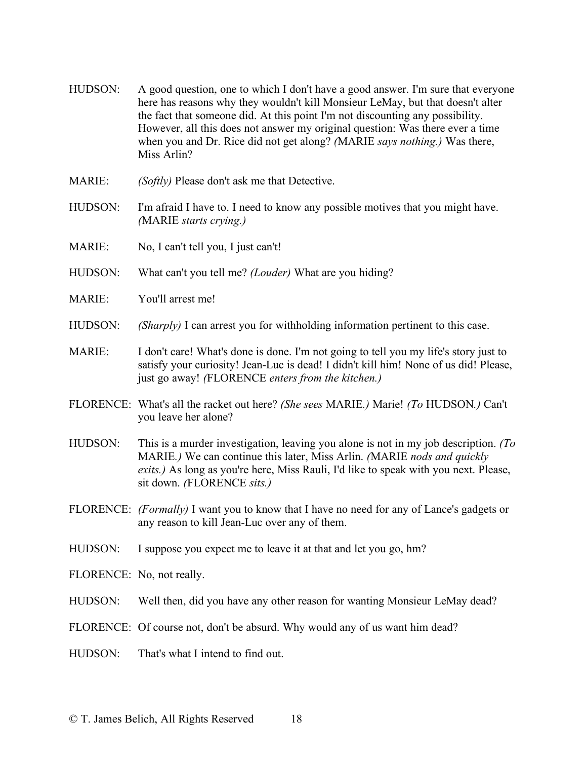- HUDSON: A good question, one to which I don't have a good answer. I'm sure that everyone here has reasons why they wouldn't kill Monsieur LeMay, but that doesn't alter the fact that someone did. At this point I'm not discounting any possibility. However, all this does not answer my original question: Was there ever a time when you and Dr. Rice did not get along? *(*MARIE *says nothing.)* Was there, Miss Arlin?
- MARIE: *(Softly)* Please don't ask me that Detective.
- HUDSON: I'm afraid I have to. I need to know any possible motives that you might have. *(*MARIE *starts crying.)*
- MARIE: No, I can't tell you, I just can't!
- HUDSON: What can't you tell me? *(Louder)* What are you hiding?
- MARIE: You'll arrest me!
- HUDSON: *(Sharply)* I can arrest you for withholding information pertinent to this case.
- MARIE: I don't care! What's done is done. I'm not going to tell you my life's story just to satisfy your curiosity! Jean-Luc is dead! I didn't kill him! None of us did! Please, just go away! *(*FLORENCE *enters from the kitchen.)*
- FLORENCE: What's all the racket out here? *(She sees* MARIE*.)* Marie! *(To* HUDSON*.)* Can't you leave her alone?
- HUDSON: This is a murder investigation, leaving you alone is not in my job description. *(To*  MARIE*.)* We can continue this later, Miss Arlin. *(*MARIE *nods and quickly exits.)* As long as you're here, Miss Rauli, I'd like to speak with you next. Please, sit down. *(*FLORENCE *sits.)*
- FLORENCE: *(Formally)* I want you to know that I have no need for any of Lance's gadgets or any reason to kill Jean-Luc over any of them.
- HUDSON: I suppose you expect me to leave it at that and let you go, hm?
- FLORENCE: No, not really.
- HUDSON: Well then, did you have any other reason for wanting Monsieur LeMay dead?
- FLORENCE: Of course not, don't be absurd. Why would any of us want him dead?
- HUDSON: That's what I intend to find out.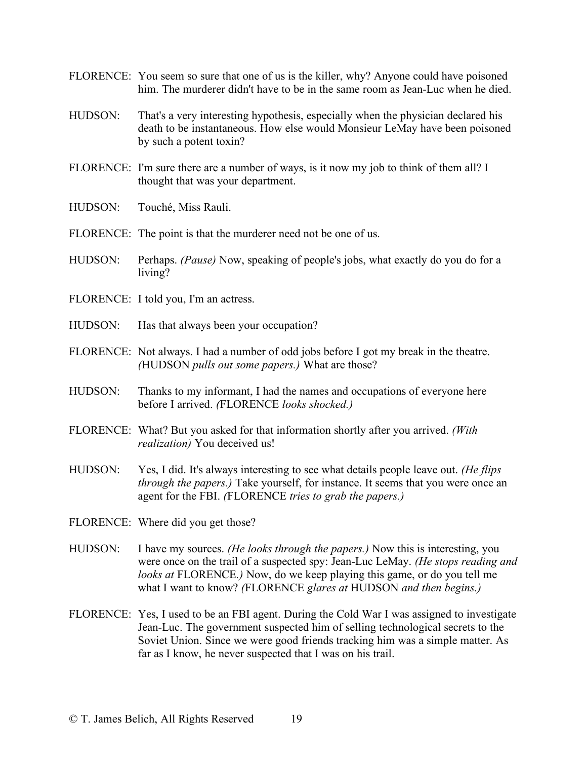- FLORENCE: You seem so sure that one of us is the killer, why? Anyone could have poisoned him. The murderer didn't have to be in the same room as Jean-Luc when he died.
- HUDSON: That's a very interesting hypothesis, especially when the physician declared his death to be instantaneous. How else would Monsieur LeMay have been poisoned by such a potent toxin?
- FLORENCE: I'm sure there are a number of ways, is it now my job to think of them all? I thought that was your department.
- HUDSON: Touché, Miss Rauli.
- FLORENCE: The point is that the murderer need not be one of us.
- HUDSON: Perhaps. *(Pause)* Now, speaking of people's jobs, what exactly do you do for a living?
- FLORENCE: I told you, I'm an actress.
- HUDSON: Has that always been your occupation?
- FLORENCE: Not always. I had a number of odd jobs before I got my break in the theatre. *(*HUDSON *pulls out some papers.)* What are those?
- HUDSON: Thanks to my informant, I had the names and occupations of everyone here before I arrived. *(*FLORENCE *looks shocked.)*
- FLORENCE: What? But you asked for that information shortly after you arrived. *(With realization)* You deceived us!
- HUDSON: Yes, I did. It's always interesting to see what details people leave out. *(He flips through the papers.)* Take yourself, for instance. It seems that you were once an agent for the FBI. *(*FLORENCE *tries to grab the papers.)*
- FLORENCE: Where did you get those?
- HUDSON: I have my sources. *(He looks through the papers.)* Now this is interesting, you were once on the trail of a suspected spy: Jean-Luc LeMay. *(He stops reading and looks at* FLORENCE*.)* Now, do we keep playing this game, or do you tell me what I want to know? *(*FLORENCE *glares at* HUDSON *and then begins.)*
- FLORENCE: Yes, I used to be an FBI agent. During the Cold War I was assigned to investigate Jean-Luc. The government suspected him of selling technological secrets to the Soviet Union. Since we were good friends tracking him was a simple matter. As far as I know, he never suspected that I was on his trail.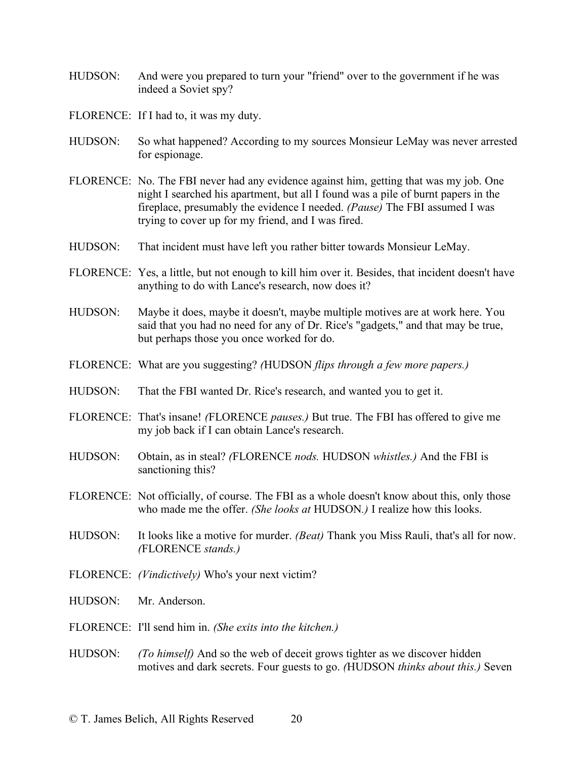- HUDSON: And were you prepared to turn your "friend" over to the government if he was indeed a Soviet spy?
- FLORENCE: If I had to, it was my duty.
- HUDSON: So what happened? According to my sources Monsieur LeMay was never arrested for espionage.
- FLORENCE: No. The FBI never had any evidence against him, getting that was my job. One night I searched his apartment, but all I found was a pile of burnt papers in the fireplace, presumably the evidence I needed. *(Pause)* The FBI assumed I was trying to cover up for my friend, and I was fired.
- HUDSON: That incident must have left you rather bitter towards Monsieur LeMay.
- FLORENCE: Yes, a little, but not enough to kill him over it. Besides, that incident doesn't have anything to do with Lance's research, now does it?
- HUDSON: Maybe it does, maybe it doesn't, maybe multiple motives are at work here. You said that you had no need for any of Dr. Rice's "gadgets," and that may be true, but perhaps those you once worked for do.
- FLORENCE: What are you suggesting? *(*HUDSON *flips through a few more papers.)*
- HUDSON: That the FBI wanted Dr. Rice's research, and wanted you to get it.
- FLORENCE: That's insane! *(*FLORENCE *pauses.)* But true. The FBI has offered to give me my job back if I can obtain Lance's research.
- HUDSON: Obtain, as in steal? *(*FLORENCE *nods.* HUDSON *whistles.)* And the FBI is sanctioning this?
- FLORENCE: Not officially, of course. The FBI as a whole doesn't know about this, only those who made me the offer. *(She looks at* HUDSON*.)* I realize how this looks.
- HUDSON: It looks like a motive for murder. *(Beat)* Thank you Miss Rauli, that's all for now. *(*FLORENCE *stands.)*
- FLORENCE: *(Vindictively)* Who's your next victim?
- HUDSON: Mr. Anderson.
- FLORENCE: I'll send him in. *(She exits into the kitchen.)*
- HUDSON: *(To himself)* And so the web of deceit grows tighter as we discover hidden motives and dark secrets. Four guests to go. *(*HUDSON *thinks about this.)* Seven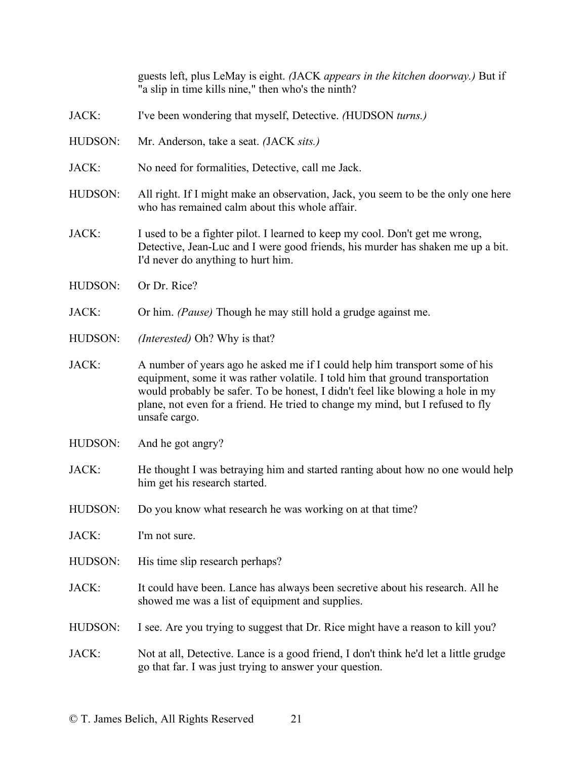guests left, plus LeMay is eight. *(*JACK *appears in the kitchen doorway.)* But if "a slip in time kills nine," then who's the ninth?

- JACK: I've been wondering that myself, Detective. *(*HUDSON *turns.)*
- HUDSON: Mr. Anderson, take a seat. *(*JACK *sits.)*
- JACK: No need for formalities, Detective, call me Jack.
- HUDSON: All right. If I might make an observation, Jack, you seem to be the only one here who has remained calm about this whole affair.
- JACK: I used to be a fighter pilot. I learned to keep my cool. Don't get me wrong, Detective, Jean-Luc and I were good friends, his murder has shaken me up a bit. I'd never do anything to hurt him.
- HUDSON: Or Dr. Rice?
- JACK: Or him. *(Pause)* Though he may still hold a grudge against me.
- HUDSON: *(Interested)* Oh? Why is that?
- JACK: A number of years ago he asked me if I could help him transport some of his equipment, some it was rather volatile. I told him that ground transportation would probably be safer. To be honest, I didn't feel like blowing a hole in my plane, not even for a friend. He tried to change my mind, but I refused to fly unsafe cargo.
- HUDSON: And he got angry?
- JACK: He thought I was betraying him and started ranting about how no one would help him get his research started.
- HUDSON: Do you know what research he was working on at that time?

JACK: I'm not sure.

- HUDSON: His time slip research perhaps?
- JACK: It could have been. Lance has always been secretive about his research. All he showed me was a list of equipment and supplies.
- HUDSON: I see. Are you trying to suggest that Dr. Rice might have a reason to kill you?

JACK: Not at all, Detective. Lance is a good friend, I don't think he'd let a little grudge go that far. I was just trying to answer your question.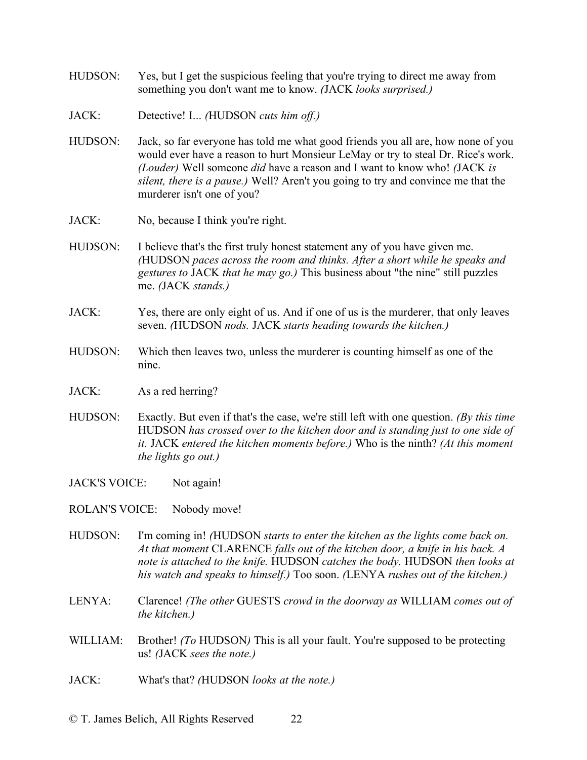- HUDSON: Yes, but I get the suspicious feeling that you're trying to direct me away from something you don't want me to know. *(*JACK *looks surprised.)*
- JACK: Detective! I... *(*HUDSON *cuts him off.)*
- HUDSON: Jack, so far everyone has told me what good friends you all are, how none of you would ever have a reason to hurt Monsieur LeMay or try to steal Dr. Rice's work. *(Louder)* Well someone *did* have a reason and I want to know who! *(*JACK *is silent, there is a pause.)* Well? Aren't you going to try and convince me that the murderer isn't one of you?
- JACK: No, because I think you're right.
- HUDSON: I believe that's the first truly honest statement any of you have given me. *(*HUDSON *paces across the room and thinks. After a short while he speaks and gestures to* JACK *that he may go.)* This business about "the nine" still puzzles me. *(*JACK *stands.)*
- JACK: Yes, there are only eight of us. And if one of us is the murderer, that only leaves seven. *(*HUDSON *nods.* JACK *starts heading towards the kitchen.)*
- HUDSON: Which then leaves two, unless the murderer is counting himself as one of the nine.
- JACK: As a red herring?
- HUDSON: Exactly. But even if that's the case, we're still left with one question. *(By this time*  HUDSON *has crossed over to the kitchen door and is standing just to one side of it.* JACK *entered the kitchen moments before.)* Who is the ninth? *(At this moment the lights go out.)*
- JACK'S VOICE: Not again!
- ROLAN'S VOICE: Nobody move!
- HUDSON: I'm coming in! *(*HUDSON *starts to enter the kitchen as the lights come back on. At that moment* CLARENCE *falls out of the kitchen door, a knife in his back. A note is attached to the knife.* HUDSON *catches the body.* HUDSON *then looks at his watch and speaks to himself.)* Too soon. *(*LENYA *rushes out of the kitchen.)*
- LENYA: Clarence! *(The other* GUESTS *crowd in the doorway as* WILLIAM *comes out of the kitchen.)*
- WILLIAM: Brother! *(To* HUDSON) This is all your fault. You're supposed to be protecting us! *(*JACK *sees the note.)*
- JACK: What's that? *(*HUDSON *looks at the note.)*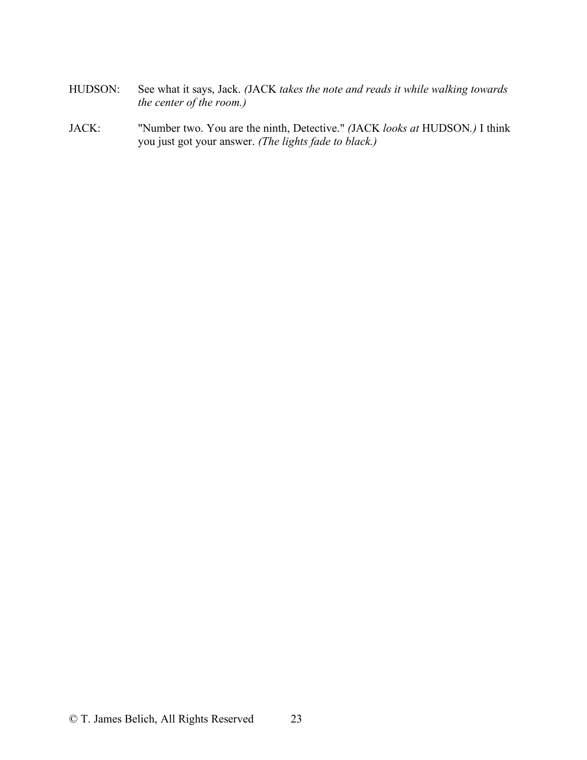- HUDSON: See what it says, Jack. *(*JACK *takes the note and reads it while walking towards the center of the room.)*
- JACK: "Number two. You are the ninth, Detective." *(*JACK *looks at* HUDSON*.)* I think you just got your answer. *(The lights fade to black.)*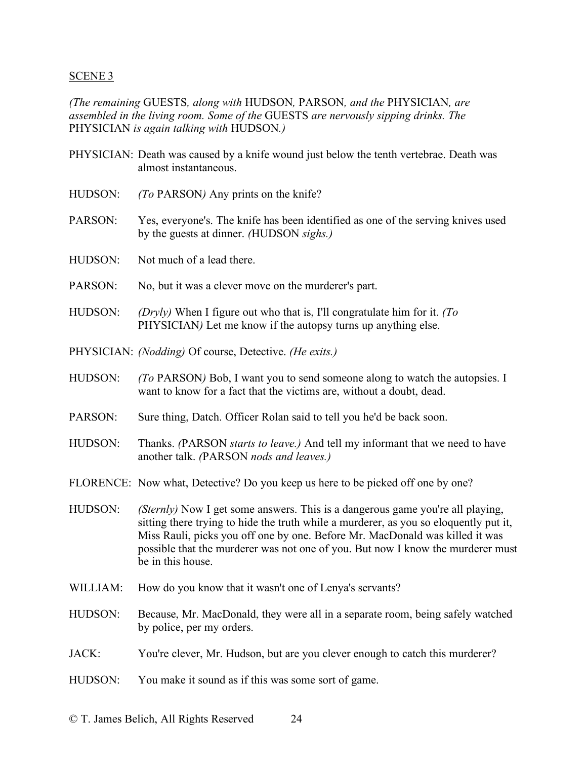### SCENE 3

*(The remaining* GUESTS*, along with* HUDSON*,* PARSON*, and the* PHYSICIAN*, are assembled in the living room. Some of the* GUESTS *are nervously sipping drinks. The*  PHYSICIAN *is again talking with* HUDSON*.)*

- PHYSICIAN: Death was caused by a knife wound just below the tenth vertebrae. Death was almost instantaneous.
- HUDSON: *(To* PARSON*)* Any prints on the knife?
- PARSON: Yes, everyone's. The knife has been identified as one of the serving knives used by the guests at dinner. *(*HUDSON *sighs.)*
- HUDSON: Not much of a lead there.
- PARSON: No, but it was a clever move on the murderer's part.
- HUDSON: *(Dryly)* When I figure out who that is, I'll congratulate him for it. *(To*  PHYSICIAN*)* Let me know if the autopsy turns up anything else.
- PHYSICIAN: *(Nodding)* Of course, Detective. *(He exits.)*
- HUDSON: *(To* PARSON*)* Bob, I want you to send someone along to watch the autopsies. I want to know for a fact that the victims are, without a doubt, dead.
- PARSON: Sure thing, Datch. Officer Rolan said to tell you he'd be back soon.
- HUDSON: Thanks. *(*PARSON *starts to leave.)* And tell my informant that we need to have another talk. *(*PARSON *nods and leaves.)*
- FLORENCE: Now what, Detective? Do you keep us here to be picked off one by one?
- HUDSON: *(Sternly)* Now I get some answers. This is a dangerous game you're all playing, sitting there trying to hide the truth while a murderer, as you so eloquently put it, Miss Rauli, picks you off one by one. Before Mr. MacDonald was killed it was possible that the murderer was not one of you. But now I know the murderer must be in this house.
- WILLIAM: How do you know that it wasn't one of Lenya's servants?
- HUDSON: Because, Mr. MacDonald, they were all in a separate room, being safely watched by police, per my orders.
- JACK: You're clever, Mr. Hudson, but are you clever enough to catch this murderer?
- HUDSON: You make it sound as if this was some sort of game.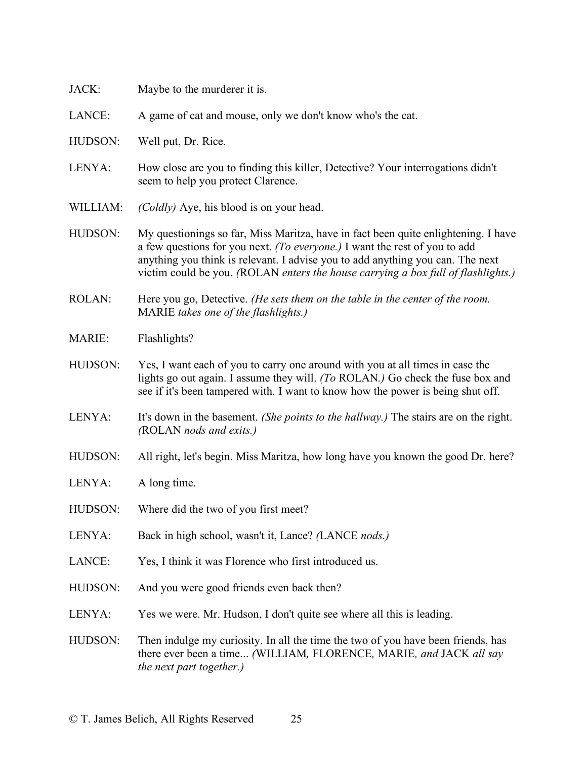| JACK:          | Maybe to the murderer it is.                                                                                                                                                                                                                                                                                                            |
|----------------|-----------------------------------------------------------------------------------------------------------------------------------------------------------------------------------------------------------------------------------------------------------------------------------------------------------------------------------------|
| LANCE:         | A game of cat and mouse, only we don't know who's the cat.                                                                                                                                                                                                                                                                              |
| HUDSON:        | Well put, Dr. Rice.                                                                                                                                                                                                                                                                                                                     |
| LENYA:         | How close are you to finding this killer, Detective? Your interrogations didn't<br>seem to help you protect Clarence.                                                                                                                                                                                                                   |
| WILLIAM:       | (Coldly) Aye, his blood is on your head.                                                                                                                                                                                                                                                                                                |
| HUDSON:        | My questionings so far, Miss Maritza, have in fact been quite enlightening. I have<br>a few questions for you next. (To everyone.) I want the rest of you to add<br>anything you think is relevant. I advise you to add anything you can. The next<br>victim could be you. (ROLAN enters the house carrying a box full of flashlights.) |
| <b>ROLAN:</b>  | Here you go, Detective. (He sets them on the table in the center of the room.<br>MARIE takes one of the flashlights.)                                                                                                                                                                                                                   |
| <b>MARIE:</b>  | Flashlights?                                                                                                                                                                                                                                                                                                                            |
| <b>HUDSON:</b> | Yes, I want each of you to carry one around with you at all times in case the<br>lights go out again. I assume they will. (To ROLAN.) Go check the fuse box and<br>see if it's been tampered with. I want to know how the power is being shut off.                                                                                      |
| LENYA:         | It's down in the basement. (She points to the hallway.) The stairs are on the right.<br>(ROLAN nods and exits.)                                                                                                                                                                                                                         |
| <b>HUDSON:</b> | All right, let's begin. Miss Maritza, how long have you known the good Dr. here?                                                                                                                                                                                                                                                        |
| LENYA:         | A long time.                                                                                                                                                                                                                                                                                                                            |
| HUDSON:        | Where did the two of you first meet?                                                                                                                                                                                                                                                                                                    |
| LENYA:         | Back in high school, wasn't it, Lance? (LANCE nods.)                                                                                                                                                                                                                                                                                    |
| LANCE:         | Yes, I think it was Florence who first introduced us.                                                                                                                                                                                                                                                                                   |
| HUDSON:        | And you were good friends even back then?                                                                                                                                                                                                                                                                                               |
| LENYA:         | Yes we were. Mr. Hudson, I don't quite see where all this is leading.                                                                                                                                                                                                                                                                   |
| HUDSON:        | Then indulge my curiosity. In all the time the two of you have been friends, has<br>there ever been a time (WILLIAM, FLORENCE, MARIE, and JACK all say<br>the next part together.)                                                                                                                                                      |
|                |                                                                                                                                                                                                                                                                                                                                         |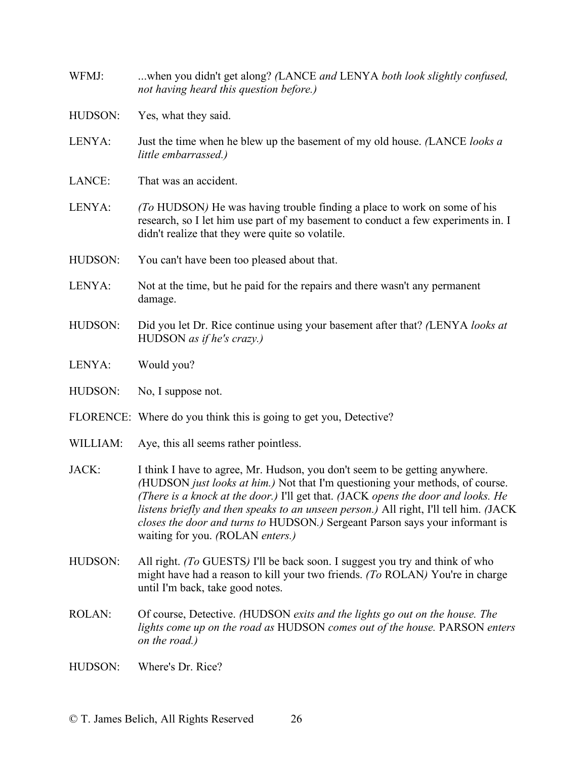- WFMJ: ...when you didn't get along? *(*LANCE *and* LENYA *both look slightly confused, not having heard this question before.)*
- HUDSON: Yes, what they said.
- LENYA: Just the time when he blew up the basement of my old house. *(*LANCE *looks a little embarrassed.)*
- LANCE: That was an accident.
- LENYA: *(To* HUDSON*)* He was having trouble finding a place to work on some of his research, so I let him use part of my basement to conduct a few experiments in. I didn't realize that they were quite so volatile.
- HUDSON: You can't have been too pleased about that.
- LENYA: Not at the time, but he paid for the repairs and there wasn't any permanent damage.
- HUDSON: Did you let Dr. Rice continue using your basement after that? *(*LENYA *looks at*  HUDSON *as if he's crazy.)*
- LENYA: Would you?
- HUDSON: No, I suppose not.
- FLORENCE: Where do you think this is going to get you, Detective?
- WILLIAM: Aye, this all seems rather pointless.
- JACK: I think I have to agree, Mr. Hudson, you don't seem to be getting anywhere. *(*HUDSON *just looks at him.)* Not that I'm questioning your methods, of course. *(There is a knock at the door.)* I'll get that. *(*JACK *opens the door and looks. He listens briefly and then speaks to an unseen person.)* All right, I'll tell him. *(*JACK *closes the door and turns to* HUDSON*.)* Sergeant Parson says your informant is waiting for you. *(*ROLAN *enters.)*
- HUDSON: All right. *(To GUESTS)* I'll be back soon. I suggest you try and think of who might have had a reason to kill your two friends. *(To* ROLAN*)* You're in charge until I'm back, take good notes.
- ROLAN: Of course, Detective. *(*HUDSON *exits and the lights go out on the house. The lights come up on the road as* HUDSON *comes out of the house.* PARSON *enters on the road.)*
- HUDSON: Where's Dr. Rice?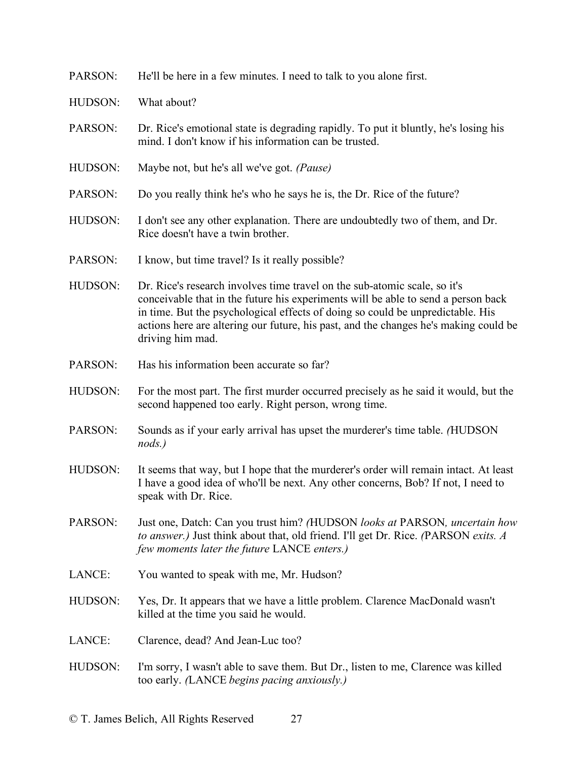| He'll be here in a few minutes. I need to talk to you alone first.                                                                                                                                                                                                                                                                                           |
|--------------------------------------------------------------------------------------------------------------------------------------------------------------------------------------------------------------------------------------------------------------------------------------------------------------------------------------------------------------|
| What about?                                                                                                                                                                                                                                                                                                                                                  |
| Dr. Rice's emotional state is degrading rapidly. To put it bluntly, he's losing his<br>mind. I don't know if his information can be trusted.                                                                                                                                                                                                                 |
| Maybe not, but he's all we've got. (Pause)                                                                                                                                                                                                                                                                                                                   |
| Do you really think he's who he says he is, the Dr. Rice of the future?                                                                                                                                                                                                                                                                                      |
| I don't see any other explanation. There are undoubtedly two of them, and Dr.<br>Rice doesn't have a twin brother.                                                                                                                                                                                                                                           |
| I know, but time travel? Is it really possible?                                                                                                                                                                                                                                                                                                              |
| Dr. Rice's research involves time travel on the sub-atomic scale, so it's<br>conceivable that in the future his experiments will be able to send a person back<br>in time. But the psychological effects of doing so could be unpredictable. His<br>actions here are altering our future, his past, and the changes he's making could be<br>driving him mad. |
| Has his information been accurate so far?                                                                                                                                                                                                                                                                                                                    |
| For the most part. The first murder occurred precisely as he said it would, but the<br>second happened too early. Right person, wrong time.                                                                                                                                                                                                                  |
| Sounds as if your early arrival has upset the murderer's time table. (HUDSON<br>$nods.$ )                                                                                                                                                                                                                                                                    |
| It seems that way, but I hope that the murderer's order will remain intact. At least<br>I have a good idea of who'll be next. Any other concerns, Bob? If not, I need to<br>speak with Dr. Rice.                                                                                                                                                             |
| Just one, Datch: Can you trust him? (HUDSON looks at PARSON, uncertain how<br>to answer.) Just think about that, old friend. I'll get Dr. Rice. (PARSON exits. A<br>few moments later the future LANCE enters.)                                                                                                                                              |
| You wanted to speak with me, Mr. Hudson?                                                                                                                                                                                                                                                                                                                     |
| Yes, Dr. It appears that we have a little problem. Clarence MacDonald wasn't<br>killed at the time you said he would.                                                                                                                                                                                                                                        |
| Clarence, dead? And Jean-Luc too?                                                                                                                                                                                                                                                                                                                            |
| I'm sorry, I wasn't able to save them. But Dr., listen to me, Clarence was killed<br>too early. (LANCE begins pacing anxiously.)                                                                                                                                                                                                                             |
|                                                                                                                                                                                                                                                                                                                                                              |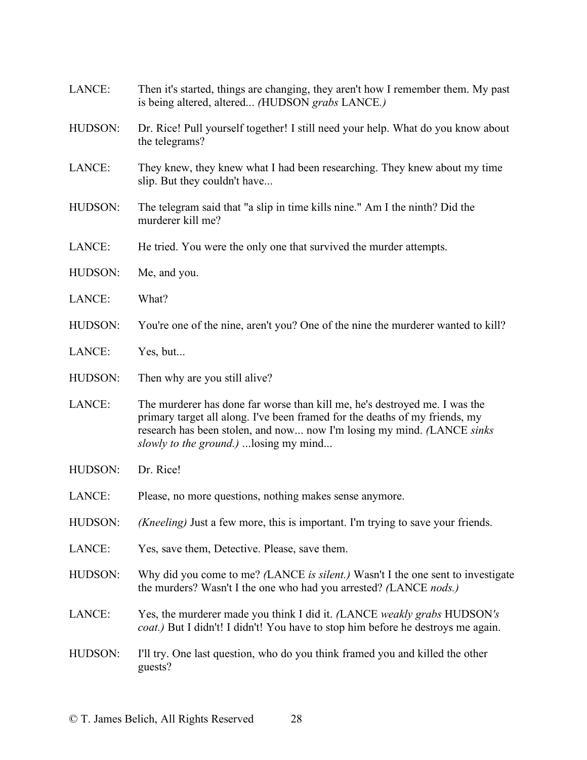| LANCE:  | Then it's started, things are changing, they aren't how I remember them. My past<br>is being altered, altered (HUDSON grabs LANCE.)                                                                                                                                                   |
|---------|---------------------------------------------------------------------------------------------------------------------------------------------------------------------------------------------------------------------------------------------------------------------------------------|
| HUDSON: | Dr. Rice! Pull yourself together! I still need your help. What do you know about<br>the telegrams?                                                                                                                                                                                    |
| LANCE:  | They knew, they knew what I had been researching. They knew about my time<br>slip. But they couldn't have                                                                                                                                                                             |
| HUDSON: | The telegram said that "a slip in time kills nine." Am I the ninth? Did the<br>murderer kill me?                                                                                                                                                                                      |
| LANCE:  | He tried. You were the only one that survived the murder attempts.                                                                                                                                                                                                                    |
| HUDSON: | Me, and you.                                                                                                                                                                                                                                                                          |
| LANCE:  | What?                                                                                                                                                                                                                                                                                 |
| HUDSON: | You're one of the nine, aren't you? One of the nine the murderer wanted to kill?                                                                                                                                                                                                      |
| LANCE:  | Yes, but                                                                                                                                                                                                                                                                              |
| HUDSON: | Then why are you still alive?                                                                                                                                                                                                                                                         |
| LANCE:  | The murderer has done far worse than kill me, he's destroyed me. I was the<br>primary target all along. I've been framed for the deaths of my friends, my<br>research has been stolen, and now now I'm losing my mind. (LANCE sinks<br><i>slowly to the ground.</i> )  losing my mind |
| HUDSON: | Dr. Rice!                                                                                                                                                                                                                                                                             |
| LANCE:  | Please, no more questions, nothing makes sense anymore.                                                                                                                                                                                                                               |
| HUDSON: | ( <i>Kneeling</i> ) Just a few more, this is important. I'm trying to save your friends.                                                                                                                                                                                              |
| LANCE:  | Yes, save them, Detective. Please, save them.                                                                                                                                                                                                                                         |
| HUDSON: | Why did you come to me? (LANCE is silent.) Wasn't I the one sent to investigate<br>the murders? Wasn't I the one who had you arrested? (LANCE nods.)                                                                                                                                  |
| LANCE:  | Yes, the murderer made you think I did it. (LANCE weakly grabs HUDSON's<br>coat.) But I didn't! I didn't! You have to stop him before he destroys me again.                                                                                                                           |
| HUDSON: | I'll try. One last question, who do you think framed you and killed the other<br>guests?                                                                                                                                                                                              |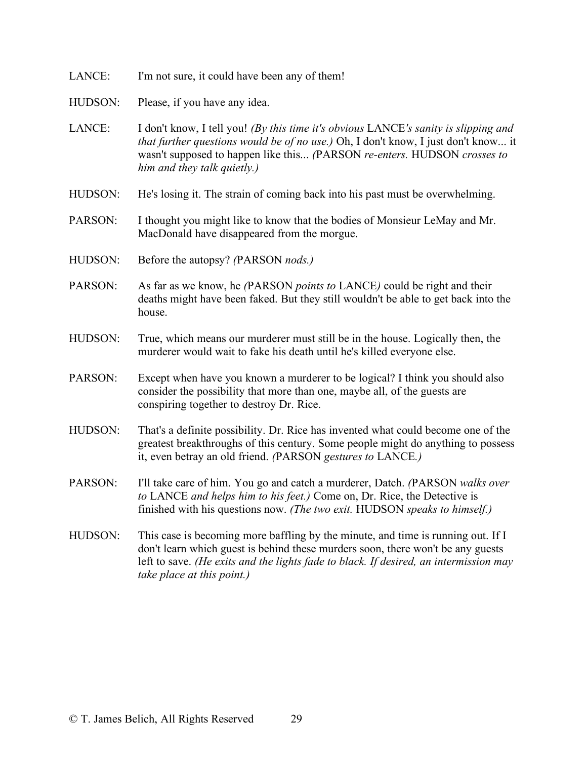- LANCE: I'm not sure, it could have been any of them!
- HUDSON: Please, if you have any idea.
- LANCE: I don't know, I tell you! *(By this time it's obvious* LANCE*'s sanity is slipping and that further questions would be of no use.)* Oh, I don't know, I just don't know... it wasn't supposed to happen like this... *(*PARSON *re-enters.* HUDSON *crosses to him and they talk quietly.)*
- HUDSON: He's losing it. The strain of coming back into his past must be overwhelming.
- PARSON: I thought you might like to know that the bodies of Monsieur LeMay and Mr. MacDonald have disappeared from the morgue.
- HUDSON: Before the autopsy? *(*PARSON *nods.)*
- PARSON: As far as we know, he *(*PARSON *points to* LANCE*)* could be right and their deaths might have been faked. But they still wouldn't be able to get back into the house.
- HUDSON: True, which means our murderer must still be in the house. Logically then, the murderer would wait to fake his death until he's killed everyone else.
- PARSON: Except when have you known a murderer to be logical? I think you should also consider the possibility that more than one, maybe all, of the guests are conspiring together to destroy Dr. Rice.
- HUDSON: That's a definite possibility. Dr. Rice has invented what could become one of the greatest breakthroughs of this century. Some people might do anything to possess it, even betray an old friend. *(*PARSON *gestures to* LANCE*.)*
- PARSON: I'll take care of him. You go and catch a murderer, Datch. *(*PARSON *walks over to* LANCE *and helps him to his feet.)* Come on, Dr. Rice, the Detective is finished with his questions now. *(The two exit.* HUDSON *speaks to himself.)*
- HUDSON: This case is becoming more baffling by the minute, and time is running out. If I don't learn which guest is behind these murders soon, there won't be any guests left to save. *(He exits and the lights fade to black. If desired, an intermission may take place at this point.)*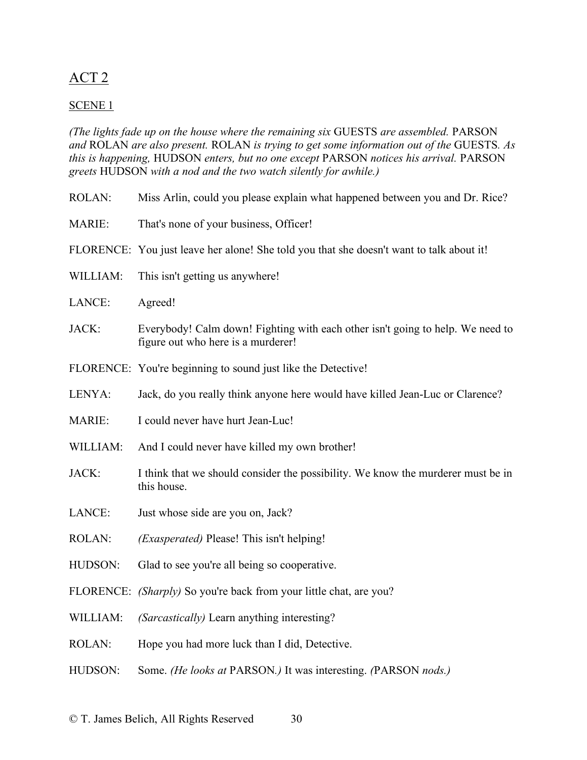# ACT 2

## SCENE 1

*(The lights fade up on the house where the remaining six* GUESTS *are assembled.* PARSON *and* ROLAN *are also present.* ROLAN *is trying to get some information out of the* GUESTS*. As this is happening,* HUDSON *enters, but no one except* PARSON *notices his arrival.* PARSON *greets* HUDSON *with a nod and the two watch silently for awhile.)*

| <b>ROLAN:</b> | Miss Arlin, could you please explain what happened between you and Dr. Rice?                                         |
|---------------|----------------------------------------------------------------------------------------------------------------------|
| <b>MARIE:</b> | That's none of your business, Officer!                                                                               |
|               | FLORENCE: You just leave her alone! She told you that she doesn't want to talk about it!                             |
| WILLIAM:      | This isn't getting us anywhere!                                                                                      |
| LANCE:        | Agreed!                                                                                                              |
| JACK:         | Everybody! Calm down! Fighting with each other isn't going to help. We need to<br>figure out who here is a murderer! |
|               | FLORENCE: You're beginning to sound just like the Detective!                                                         |
| LENYA:        | Jack, do you really think anyone here would have killed Jean-Luc or Clarence?                                        |
| <b>MARIE:</b> | I could never have hurt Jean-Luc!                                                                                    |
| WILLIAM:      | And I could never have killed my own brother!                                                                        |
| JACK:         | I think that we should consider the possibility. We know the murderer must be in<br>this house.                      |
| LANCE:        | Just whose side are you on, Jack?                                                                                    |
| <b>ROLAN:</b> | ( <i>Exasperated</i> ) Please! This isn't helping!                                                                   |
| HUDSON:       | Glad to see you're all being so cooperative.                                                                         |
|               | FLORENCE: <i>(Sharply)</i> So you're back from your little chat, are you?                                            |
| WILLIAM:      | (Sarcastically) Learn anything interesting?                                                                          |
| ROLAN:        | Hope you had more luck than I did, Detective.                                                                        |
| HUDSON:       | Some. (He looks at PARSON.) It was interesting. (PARSON nods.)                                                       |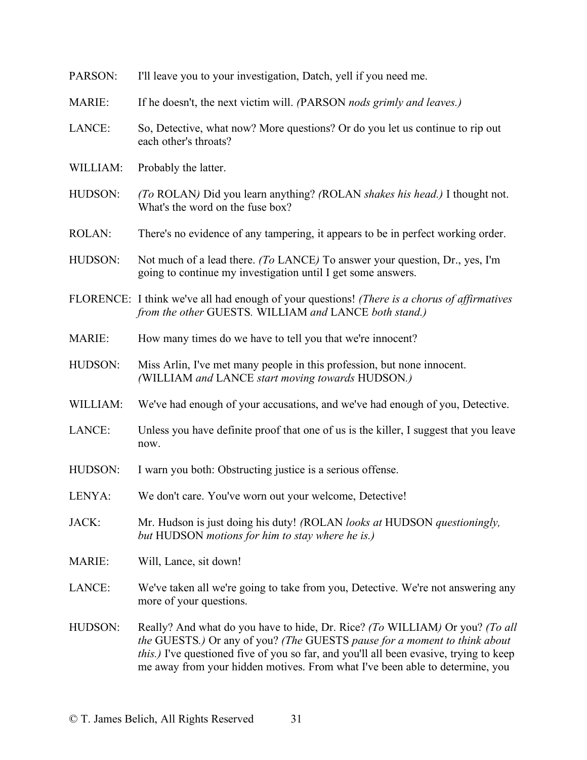| PARSON:       | I'll leave you to your investigation, Datch, yell if you need me.                                                                                                                                                                                                                                                                   |
|---------------|-------------------------------------------------------------------------------------------------------------------------------------------------------------------------------------------------------------------------------------------------------------------------------------------------------------------------------------|
| <b>MARIE:</b> | If he doesn't, the next victim will. (PARSON nods grimly and leaves.)                                                                                                                                                                                                                                                               |
| LANCE:        | So, Detective, what now? More questions? Or do you let us continue to rip out<br>each other's throats?                                                                                                                                                                                                                              |
| WILLIAM:      | Probably the latter.                                                                                                                                                                                                                                                                                                                |
| HUDSON:       | (To ROLAN) Did you learn anything? (ROLAN shakes his head.) I thought not.<br>What's the word on the fuse box?                                                                                                                                                                                                                      |
| <b>ROLAN:</b> | There's no evidence of any tampering, it appears to be in perfect working order.                                                                                                                                                                                                                                                    |
| HUDSON:       | Not much of a lead there. (To LANCE) To answer your question, Dr., yes, I'm<br>going to continue my investigation until I get some answers.                                                                                                                                                                                         |
|               | FLORENCE: I think we've all had enough of your questions! (There is a chorus of affirmatives<br>from the other GUESTS. WILLIAM and LANCE both stand.)                                                                                                                                                                               |
| MARIE:        | How many times do we have to tell you that we're innocent?                                                                                                                                                                                                                                                                          |
| HUDSON:       | Miss Arlin, I've met many people in this profession, but none innocent.<br>(WILLIAM and LANCE start moving towards HUDSON.)                                                                                                                                                                                                         |
| WILLIAM:      | We've had enough of your accusations, and we've had enough of you, Detective.                                                                                                                                                                                                                                                       |
| LANCE:        | Unless you have definite proof that one of us is the killer, I suggest that you leave<br>now.                                                                                                                                                                                                                                       |
| HUDSON:       | I warn you both: Obstructing justice is a serious offense.                                                                                                                                                                                                                                                                          |
| LENYA:        | We don't care. You've worn out your welcome, Detective!                                                                                                                                                                                                                                                                             |
| JACK:         | Mr. Hudson is just doing his duty! (ROLAN looks at HUDSON questioningly,<br>but HUDSON motions for him to stay where he is.)                                                                                                                                                                                                        |
| <b>MARIE:</b> | Will, Lance, sit down!                                                                                                                                                                                                                                                                                                              |
| LANCE:        | We've taken all we're going to take from you, Detective. We're not answering any<br>more of your questions.                                                                                                                                                                                                                         |
| HUDSON:       | Really? And what do you have to hide, Dr. Rice? (To WILLIAM) Or you? (To all<br>the GUESTS.) Or any of you? (The GUESTS pause for a moment to think about<br>this.) I've questioned five of you so far, and you'll all been evasive, trying to keep<br>me away from your hidden motives. From what I've been able to determine, you |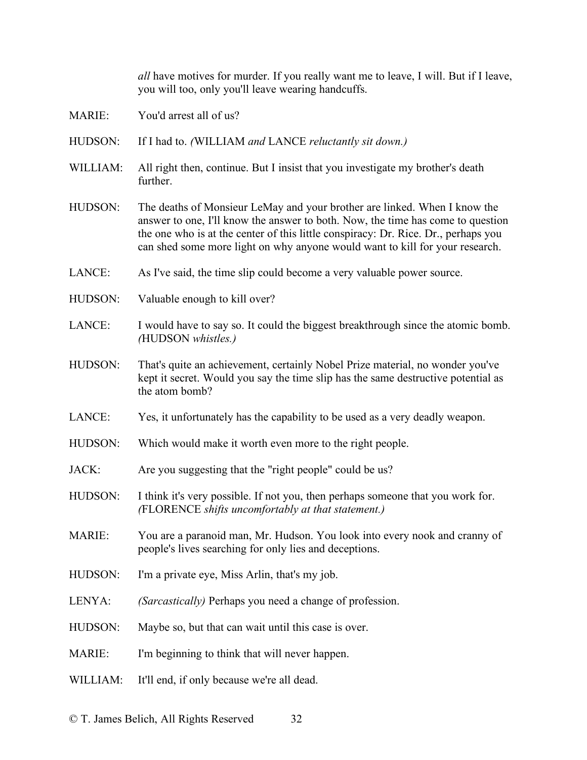*all* have motives for murder. If you really want me to leave, I will. But if I leave, you will too, only you'll leave wearing handcuffs.

- MARIE: You'd arrest all of us?
- HUDSON: If I had to. *(*WILLIAM *and* LANCE *reluctantly sit down.)*
- WILLIAM: All right then, continue. But I insist that you investigate my brother's death further.
- HUDSON: The deaths of Monsieur LeMay and your brother are linked. When I know the answer to one, I'll know the answer to both. Now, the time has come to question the one who is at the center of this little conspiracy: Dr. Rice. Dr., perhaps you can shed some more light on why anyone would want to kill for your research.
- LANCE: As I've said, the time slip could become a very valuable power source.
- HUDSON: Valuable enough to kill over?
- LANCE: I would have to say so. It could the biggest breakthrough since the atomic bomb. *(*HUDSON *whistles.)*
- HUDSON: That's quite an achievement, certainly Nobel Prize material, no wonder you've kept it secret. Would you say the time slip has the same destructive potential as the atom bomb?
- LANCE: Yes, it unfortunately has the capability to be used as a very deadly weapon.
- HUDSON: Which would make it worth even more to the right people.
- JACK: Are you suggesting that the "right people" could be us?
- HUDSON: I think it's very possible. If not you, then perhaps someone that you work for. *(*FLORENCE *shifts uncomfortably at that statement.)*
- MARIE: You are a paranoid man, Mr. Hudson. You look into every nook and cranny of people's lives searching for only lies and deceptions.
- HUDSON: I'm a private eye, Miss Arlin, that's my job.
- LENYA: *(Sarcastically)* Perhaps you need a change of profession.
- HUDSON: Maybe so, but that can wait until this case is over.
- MARIE: I'm beginning to think that will never happen.
- WILLIAM: It'll end, if only because we're all dead.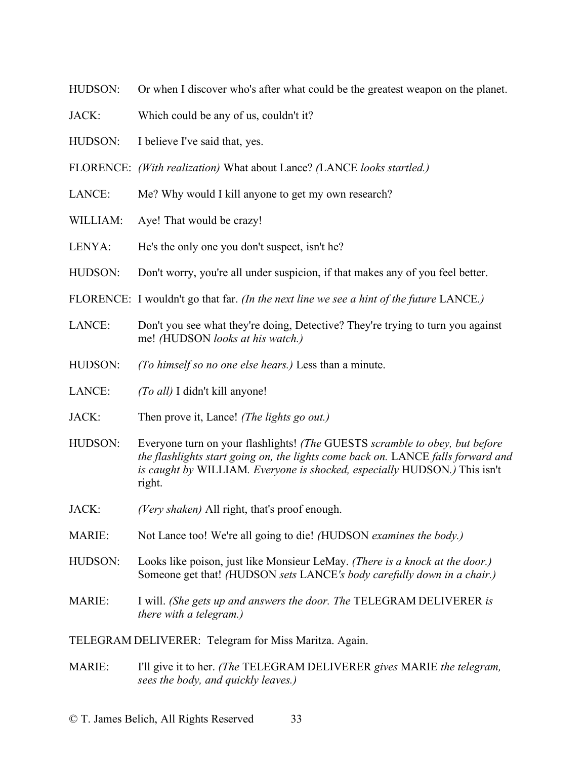- HUDSON: Or when I discover who's after what could be the greatest weapon on the planet.
- JACK: Which could be any of us, couldn't it?
- HUDSON: I believe I've said that, yes.
- FLORENCE: *(With realization)* What about Lance? *(*LANCE *looks startled.)*
- LANCE: Me? Why would I kill anyone to get my own research?
- WILLIAM: Aye! That would be crazy!
- LENYA: He's the only one you don't suspect, isn't he?
- HUDSON: Don't worry, you're all under suspicion, if that makes any of you feel better.
- FLORENCE: I wouldn't go that far. *(In the next line we see a hint of the future* LANCE*.)*
- LANCE: Don't you see what they're doing, Detective? They're trying to turn you against me! *(*HUDSON *looks at his watch.)*
- HUDSON: *(To himself so no one else hears.)* Less than a minute.
- LANCE: *(To all)* I didn't kill anyone!
- JACK: Then prove it, Lance! *(The lights go out.)*
- HUDSON: Everyone turn on your flashlights! *(The* GUESTS *scramble to obey, but before the flashlights start going on, the lights come back on.* LANCE *falls forward and is caught by* WILLIAM*. Everyone is shocked, especially* HUDSON*.)* This isn't right.
- JACK: *(Very shaken)* All right, that's proof enough.
- MARIE: Not Lance too! We're all going to die! *(*HUDSON *examines the body.)*
- HUDSON: Looks like poison, just like Monsieur LeMay. *(There is a knock at the door.)* Someone get that! *(*HUDSON *sets* LANCE*'s body carefully down in a chair.)*
- MARIE: I will. *(She gets up and answers the door. The* TELEGRAM DELIVERER *is there with a telegram.)*

TELEGRAM DELIVERER: Telegram for Miss Maritza. Again.

MARIE: I'll give it to her. *(The* TELEGRAM DELIVERER *gives* MARIE *the telegram, sees the body, and quickly leaves.)*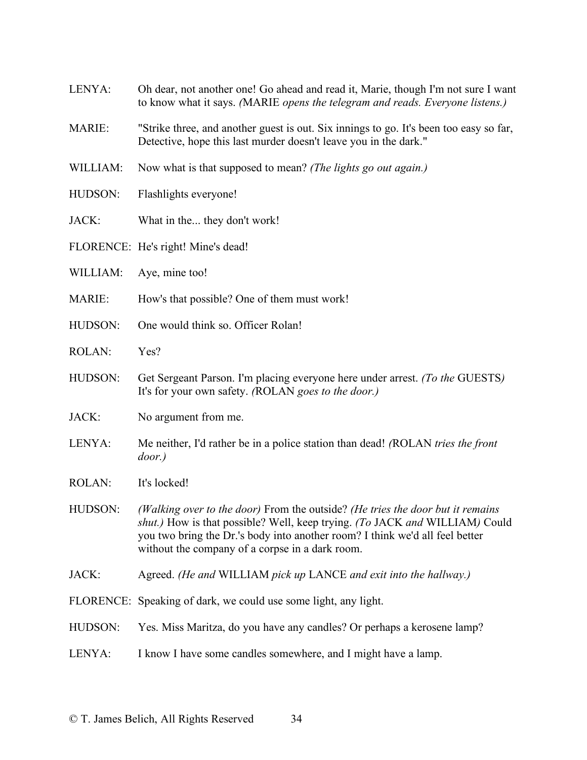| LENYA:        | Oh dear, not another one! Go ahead and read it, Marie, though I'm not sure I want<br>to know what it says. (MARIE opens the telegram and reads. Everyone listens.)                                                                                                                               |
|---------------|--------------------------------------------------------------------------------------------------------------------------------------------------------------------------------------------------------------------------------------------------------------------------------------------------|
| <b>MARIE:</b> | "Strike three, and another guest is out. Six innings to go. It's been too easy so far,<br>Detective, hope this last murder doesn't leave you in the dark."                                                                                                                                       |
| WILLIAM:      | Now what is that supposed to mean? (The lights go out again.)                                                                                                                                                                                                                                    |
| HUDSON:       | Flashlights everyone!                                                                                                                                                                                                                                                                            |
| JACK:         | What in the they don't work!                                                                                                                                                                                                                                                                     |
|               | FLORENCE: He's right! Mine's dead!                                                                                                                                                                                                                                                               |
| WILLIAM:      | Aye, mine too!                                                                                                                                                                                                                                                                                   |
| <b>MARIE:</b> | How's that possible? One of them must work!                                                                                                                                                                                                                                                      |
| HUDSON:       | One would think so. Officer Rolan!                                                                                                                                                                                                                                                               |
| <b>ROLAN:</b> | Yes?                                                                                                                                                                                                                                                                                             |
| HUDSON:       | Get Sergeant Parson. I'm placing everyone here under arrest. (To the GUESTS)<br>It's for your own safety. (ROLAN goes to the door.)                                                                                                                                                              |
| JACK:         | No argument from me.                                                                                                                                                                                                                                                                             |
| LENYA:        | Me neither, I'd rather be in a police station than dead! (ROLAN tries the front<br>$door.$ )                                                                                                                                                                                                     |
| <b>ROLAN:</b> | It's locked!                                                                                                                                                                                                                                                                                     |
| HUDSON:       | (Walking over to the door) From the outside? (He tries the door but it remains<br>shut.) How is that possible? Well, keep trying. (To JACK and WILLIAM) Could<br>you two bring the Dr.'s body into another room? I think we'd all feel better<br>without the company of a corpse in a dark room. |
| JACK:         | Agreed. (He and WILLIAM pick up LANCE and exit into the hallway.)                                                                                                                                                                                                                                |
|               | FLORENCE: Speaking of dark, we could use some light, any light.                                                                                                                                                                                                                                  |
| HUDSON:       | Yes. Miss Maritza, do you have any candles? Or perhaps a kerosene lamp?                                                                                                                                                                                                                          |
| LENYA:        | I know I have some candles somewhere, and I might have a lamp.                                                                                                                                                                                                                                   |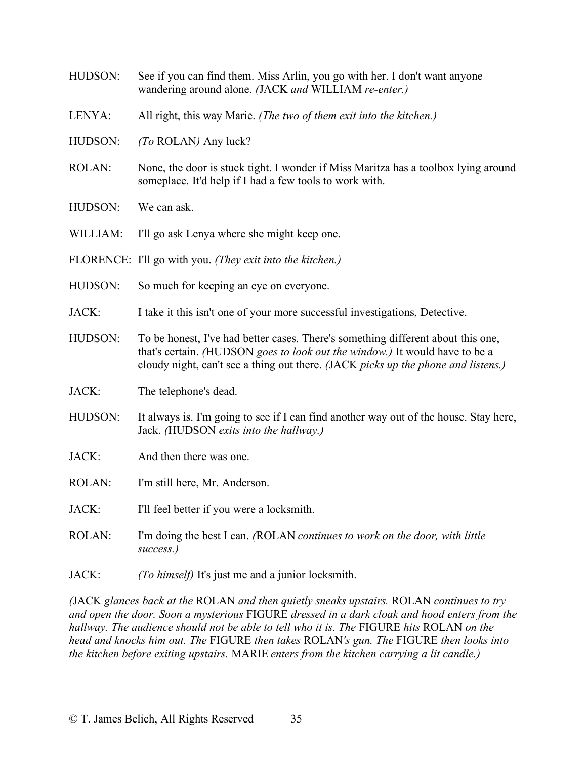- HUDSON: See if you can find them. Miss Arlin, you go with her. I don't want anyone wandering around alone. *(*JACK *and* WILLIAM *re-enter.)*
- LENYA: All right, this way Marie. *(The two of them exit into the kitchen.)*
- HUDSON: *(To* ROLAN*)* Any luck?
- ROLAN: None, the door is stuck tight. I wonder if Miss Maritza has a toolbox lying around someplace. It'd help if I had a few tools to work with.
- HUDSON: We can ask.
- WILLIAM: I'll go ask Lenya where she might keep one.
- FLORENCE: I'll go with you. *(They exit into the kitchen.)*
- HUDSON: So much for keeping an eye on everyone.
- JACK: I take it this isn't one of your more successful investigations, Detective.
- HUDSON: To be honest, I've had better cases. There's something different about this one, that's certain. *(*HUDSON *goes to look out the window.)* It would have to be a cloudy night, can't see a thing out there. *(*JACK *picks up the phone and listens.)*
- JACK: The telephone's dead.
- HUDSON: It always is. I'm going to see if I can find another way out of the house. Stay here, Jack. *(*HUDSON *exits into the hallway.)*
- JACK: And then there was one.
- ROLAN: I'm still here, Mr. Anderson.
- JACK: I'll feel better if you were a locksmith.
- ROLAN: I'm doing the best I can. *(*ROLAN *continues to work on the door, with little success.)*
- JACK: *(To himself)* It's just me and a junior locksmith.

*(*JACK *glances back at the* ROLAN *and then quietly sneaks upstairs.* ROLAN *continues to try and open the door. Soon a mysterious* FIGURE *dressed in a dark cloak and hood enters from the hallway. The audience should not be able to tell who it is. The* FIGURE *hits* ROLAN *on the head and knocks him out. The* FIGURE *then takes* ROLAN*'s gun. The* FIGURE *then looks into the kitchen before exiting upstairs.* MARIE *enters from the kitchen carrying a lit candle.)*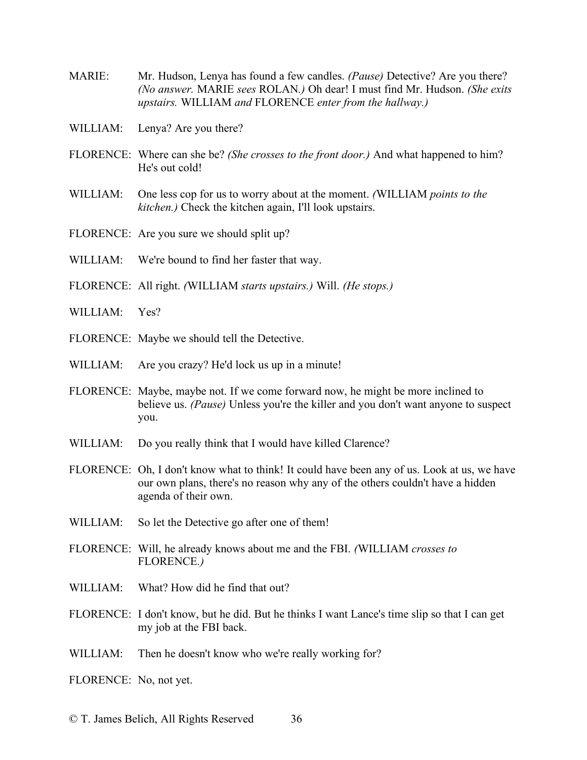- MARIE: Mr. Hudson, Lenya has found a few candles. *(Pause)* Detective? Are you there? *(No answer.* MARIE *sees* ROLAN*.)* Oh dear! I must find Mr. Hudson. *(She exits upstairs.* WILLIAM *and* FLORENCE *enter from the hallway.)*
- WILLIAM: Lenya? Are you there?
- FLORENCE: Where can she be? *(She crosses to the front door.)* And what happened to him? He's out cold!
- WILLIAM: One less cop for us to worry about at the moment. *(*WILLIAM *points to the kitchen.)* Check the kitchen again, I'll look upstairs.
- FLORENCE: Are you sure we should split up?
- WILLIAM: We're bound to find her faster that way.
- FLORENCE: All right. *(*WILLIAM *starts upstairs.)* Will. *(He stops.)*
- WILLIAM: Yes?
- FLORENCE: Maybe we should tell the Detective.
- WILLIAM: Are you crazy? He'd lock us up in a minute!
- FLORENCE: Maybe, maybe not. If we come forward now, he might be more inclined to believe us. *(Pause)* Unless you're the killer and you don't want anyone to suspect you.
- WILLIAM: Do you really think that I would have killed Clarence?
- FLORENCE: Oh, I don't know what to think! It could have been any of us. Look at us, we have our own plans, there's no reason why any of the others couldn't have a hidden agenda of their own.
- WILLIAM: So let the Detective go after one of them!
- FLORENCE: Will, he already knows about me and the FBI. *(*WILLIAM *crosses to*  FLORENCE*.)*
- WILLIAM: What? How did he find that out?
- FLORENCE: I don't know, but he did. But he thinks I want Lance's time slip so that I can get my job at the FBI back.
- WILLIAM: Then he doesn't know who we're really working for?
- FLORENCE: No, not yet.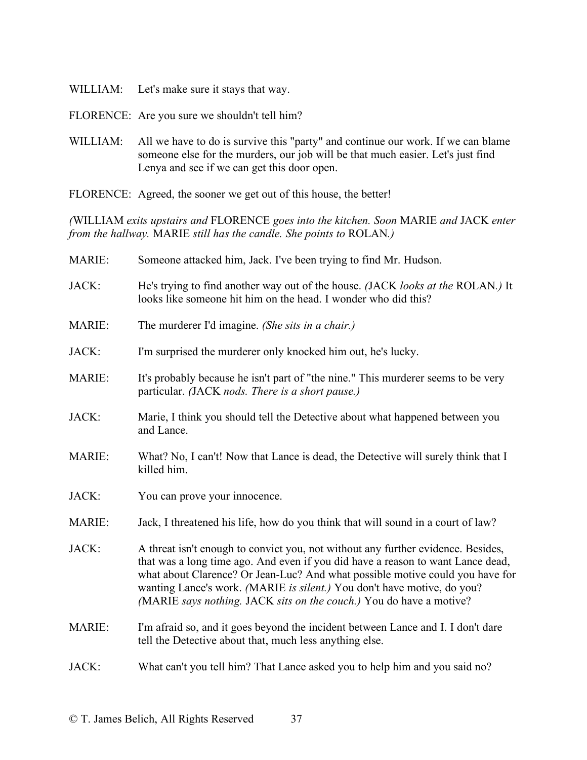- WILLIAM: Let's make sure it stays that way.
- FLORENCE: Are you sure we shouldn't tell him?
- WILLIAM: All we have to do is survive this "party" and continue our work. If we can blame someone else for the murders, our job will be that much easier. Let's just find Lenya and see if we can get this door open.
- FLORENCE: Agreed, the sooner we get out of this house, the better!

*(*WILLIAM *exits upstairs and* FLORENCE *goes into the kitchen. Soon* MARIE *and* JACK *enter from the hallway.* MARIE *still has the candle. She points to* ROLAN*.)*

| <b>MARIE:</b> | Someone attacked him, Jack. I've been trying to find Mr. Hudson.                                                                                                                                                                                                                                                                                                                                       |
|---------------|--------------------------------------------------------------------------------------------------------------------------------------------------------------------------------------------------------------------------------------------------------------------------------------------------------------------------------------------------------------------------------------------------------|
| JACK:         | He's trying to find another way out of the house. (JACK looks at the ROLAN.) It<br>looks like someone hit him on the head. I wonder who did this?                                                                                                                                                                                                                                                      |
| MARIE:        | The murderer I'd imagine. (She sits in a chair.)                                                                                                                                                                                                                                                                                                                                                       |
| JACK:         | I'm surprised the murderer only knocked him out, he's lucky.                                                                                                                                                                                                                                                                                                                                           |
| MARIE:        | It's probably because he isn't part of "the nine." This murderer seems to be very<br>particular. (JACK nods. There is a short pause.)                                                                                                                                                                                                                                                                  |
| JACK:         | Marie, I think you should tell the Detective about what happened between you<br>and Lance.                                                                                                                                                                                                                                                                                                             |
| MARIE:        | What? No, I can't! Now that Lance is dead, the Detective will surely think that I<br>killed him.                                                                                                                                                                                                                                                                                                       |
| JACK:         | You can prove your innocence.                                                                                                                                                                                                                                                                                                                                                                          |
| <b>MARIE:</b> | Jack, I threatened his life, how do you think that will sound in a court of law?                                                                                                                                                                                                                                                                                                                       |
| JACK:         | A threat isn't enough to convict you, not without any further evidence. Besides,<br>that was a long time ago. And even if you did have a reason to want Lance dead,<br>what about Clarence? Or Jean-Luc? And what possible motive could you have for<br>wanting Lance's work. (MARIE is silent.) You don't have motive, do you?<br>(MARIE says nothing. JACK sits on the couch.) You do have a motive? |
| MARIE:        | I'm afraid so, and it goes beyond the incident between Lance and I. I don't dare<br>tell the Detective about that, much less anything else.                                                                                                                                                                                                                                                            |
| JACK:         | What can't you tell him? That Lance asked you to help him and you said no?                                                                                                                                                                                                                                                                                                                             |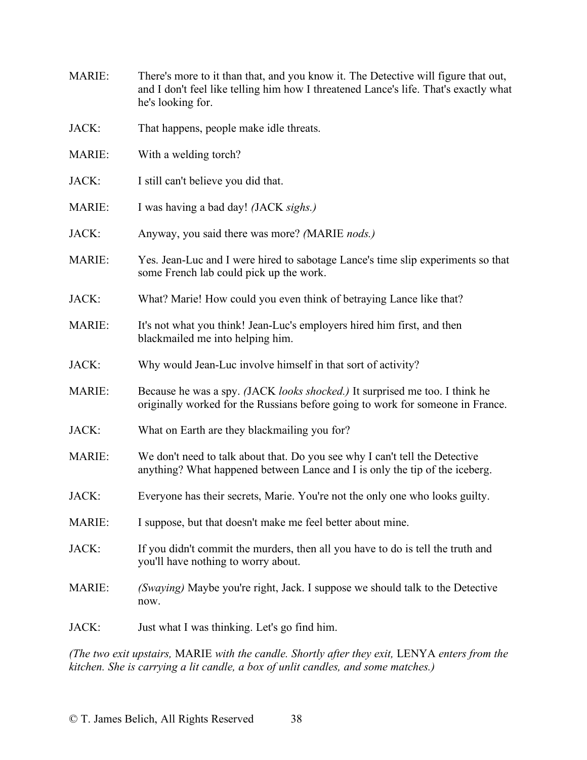- MARIE: There's more to it than that, and you know it. The Detective will figure that out, and I don't feel like telling him how I threatened Lance's life. That's exactly what he's looking for.
- JACK: That happens, people make idle threats.
- MARIE: With a welding torch?
- JACK: I still can't believe you did that.
- MARIE: I was having a bad day! *(*JACK *sighs.)*
- JACK: Anyway, you said there was more? *(*MARIE *nods.)*
- MARIE: Yes. Jean-Luc and I were hired to sabotage Lance's time slip experiments so that some French lab could pick up the work.
- JACK: What? Marie! How could you even think of betraying Lance like that?
- MARIE: It's not what you think! Jean-Luc's employers hired him first, and then blackmailed me into helping him.
- JACK: Why would Jean-Luc involve himself in that sort of activity?
- MARIE: Because he was a spy. *(*JACK *looks shocked.)* It surprised me too. I think he originally worked for the Russians before going to work for someone in France.
- JACK: What on Earth are they blackmailing you for?
- MARIE: We don't need to talk about that. Do you see why I can't tell the Detective anything? What happened between Lance and I is only the tip of the iceberg.
- JACK: Everyone has their secrets, Marie. You're not the only one who looks guilty.
- MARIE: I suppose, but that doesn't make me feel better about mine.
- JACK: If you didn't commit the murders, then all you have to do is tell the truth and you'll have nothing to worry about.
- MARIE: *(Swaying)* Maybe you're right, Jack. I suppose we should talk to the Detective now.
- JACK: Just what I was thinking. Let's go find him.

*(The two exit upstairs,* MARIE *with the candle. Shortly after they exit,* LENYA *enters from the kitchen. She is carrying a lit candle, a box of unlit candles, and some matches.)*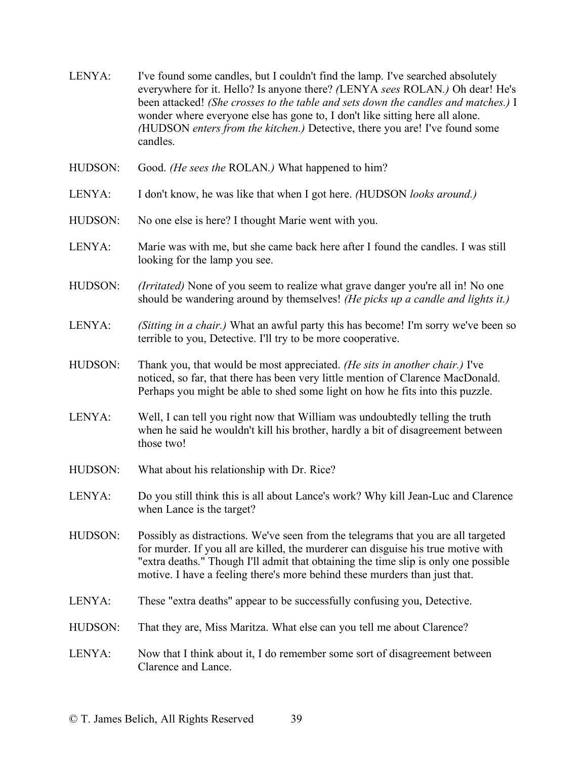| LENYA: | I've found some candles, but I couldn't find the lamp. I've searched absolutely    |
|--------|------------------------------------------------------------------------------------|
|        | everywhere for it. Hello? Is anyone there? (LENYA sees ROLAN.) Oh dear! He's       |
|        | been attacked! (She crosses to the table and sets down the candles and matches.) I |
|        | wonder where everyone else has gone to, I don't like sitting here all alone.       |
|        | (HUDSON enters from the kitchen.) Detective, there you are! I've found some        |
|        | candles.                                                                           |

- HUDSON: Good. *(He sees the* ROLAN*.)* What happened to him?
- LENYA: I don't know, he was like that when I got here. *(*HUDSON *looks around.)*
- HUDSON: No one else is here? I thought Marie went with you.
- LENYA: Marie was with me, but she came back here after I found the candles. I was still looking for the lamp you see.
- HUDSON: *(Irritated)* None of you seem to realize what grave danger you're all in! No one should be wandering around by themselves! *(He picks up a candle and lights it.)*
- LENYA: *(Sitting in a chair.)* What an awful party this has become! I'm sorry we've been so terrible to you, Detective. I'll try to be more cooperative.
- HUDSON: Thank you, that would be most appreciated. *(He sits in another chair.)* I've noticed, so far, that there has been very little mention of Clarence MacDonald. Perhaps you might be able to shed some light on how he fits into this puzzle.
- LENYA: Well, I can tell you right now that William was undoubtedly telling the truth when he said he wouldn't kill his brother, hardly a bit of disagreement between those two!
- HUDSON: What about his relationship with Dr. Rice?
- LENYA: Do you still think this is all about Lance's work? Why kill Jean-Luc and Clarence when Lance is the target?
- HUDSON: Possibly as distractions. We've seen from the telegrams that you are all targeted for murder. If you all are killed, the murderer can disguise his true motive with "extra deaths." Though I'll admit that obtaining the time slip is only one possible motive. I have a feeling there's more behind these murders than just that.
- LENYA: These "extra deaths" appear to be successfully confusing you, Detective.
- HUDSON: That they are, Miss Maritza. What else can you tell me about Clarence?
- LENYA: Now that I think about it, I do remember some sort of disagreement between Clarence and Lance.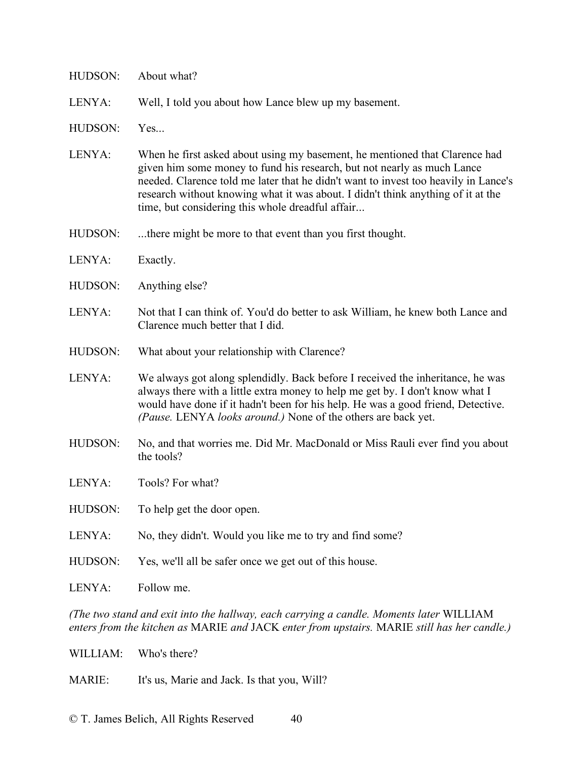| LENYA:                                                                                  | Well, I told you about how Lance blew up my basement.                                                                                                                                                                                                                                                                                                                                 |  |
|-----------------------------------------------------------------------------------------|---------------------------------------------------------------------------------------------------------------------------------------------------------------------------------------------------------------------------------------------------------------------------------------------------------------------------------------------------------------------------------------|--|
| HUDSON:                                                                                 | Yes                                                                                                                                                                                                                                                                                                                                                                                   |  |
| LENYA:                                                                                  | When he first asked about using my basement, he mentioned that Clarence had<br>given him some money to fund his research, but not nearly as much Lance<br>needed. Clarence told me later that he didn't want to invest too heavily in Lance's<br>research without knowing what it was about. I didn't think anything of it at the<br>time, but considering this whole dreadful affair |  |
| HUDSON:                                                                                 | there might be more to that event than you first thought.                                                                                                                                                                                                                                                                                                                             |  |
| LENYA:                                                                                  | Exactly.                                                                                                                                                                                                                                                                                                                                                                              |  |
| HUDSON:                                                                                 | Anything else?                                                                                                                                                                                                                                                                                                                                                                        |  |
| LENYA:                                                                                  | Not that I can think of. You'd do better to ask William, he knew both Lance and<br>Clarence much better that I did.                                                                                                                                                                                                                                                                   |  |
| HUDSON:                                                                                 | What about your relationship with Clarence?                                                                                                                                                                                                                                                                                                                                           |  |
| LENYA:                                                                                  | We always got along splendidly. Back before I received the inheritance, he was<br>always there with a little extra money to help me get by. I don't know what I<br>would have done if it hadn't been for his help. He was a good friend, Detective.<br>(Pause. LENYA looks around.) None of the others are back yet.                                                                  |  |
| HUDSON:                                                                                 | No, and that worries me. Did Mr. MacDonald or Miss Rauli ever find you about<br>the tools?                                                                                                                                                                                                                                                                                            |  |
| LENYA:                                                                                  | Tools? For what?                                                                                                                                                                                                                                                                                                                                                                      |  |
| HUDSON:                                                                                 | To help get the door open.                                                                                                                                                                                                                                                                                                                                                            |  |
| LENYA:                                                                                  | No, they didn't. Would you like me to try and find some?                                                                                                                                                                                                                                                                                                                              |  |
| HUDSON:                                                                                 | Yes, we'll all be safer once we get out of this house.                                                                                                                                                                                                                                                                                                                                |  |
| LENYA:                                                                                  | Follow me.                                                                                                                                                                                                                                                                                                                                                                            |  |
| (The two stand and exit into the hallway, each carrying a candle. Moments later WILLIAM |                                                                                                                                                                                                                                                                                                                                                                                       |  |

*enters from the kitchen as* MARIE *and* JACK *enter from upstairs.* MARIE *still has her candle.)*

WILLIAM: Who's there?

HUDSON: About what?

MARIE: It's us, Marie and Jack. Is that you, Will?

© T. James Belich, All Rights Reserved 40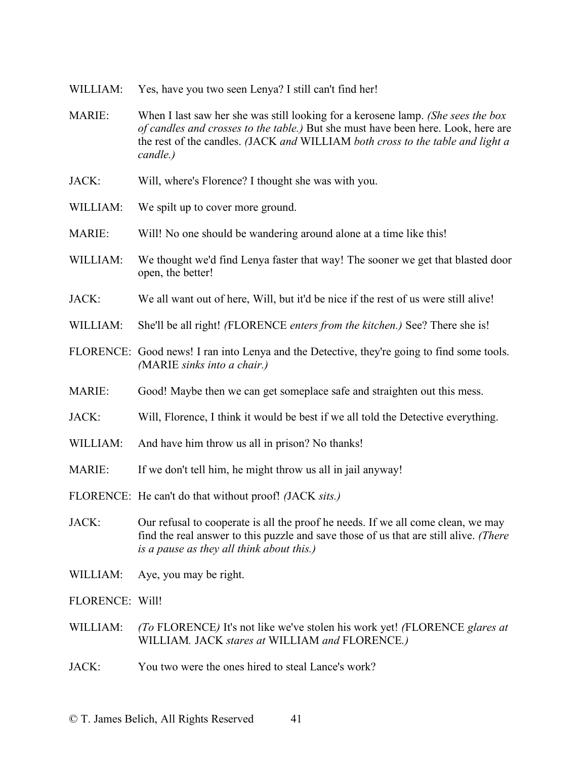- WILLIAM: Yes, have you two seen Lenya? I still can't find her!
- MARIE: When I last saw her she was still looking for a kerosene lamp. *(She sees the box of candles and crosses to the table.)* But she must have been here. Look, here are the rest of the candles. *(*JACK *and* WILLIAM *both cross to the table and light a candle.)*
- JACK: Will, where's Florence? I thought she was with you.
- WILLIAM: We spilt up to cover more ground.
- MARIE: Will! No one should be wandering around alone at a time like this!
- WILLIAM: We thought we'd find Lenya faster that way! The sooner we get that blasted door open, the better!
- JACK: We all want out of here, Will, but it'd be nice if the rest of us were still alive!
- WILLIAM: She'll be all right! *(*FLORENCE *enters from the kitchen.)* See? There she is!
- FLORENCE: Good news! I ran into Lenya and the Detective, they're going to find some tools. *(*MARIE *sinks into a chair.)*
- MARIE: Good! Maybe then we can get someplace safe and straighten out this mess.
- JACK: Will, Florence, I think it would be best if we all told the Detective everything.
- WILLIAM: And have him throw us all in prison? No thanks!
- MARIE: If we don't tell him, he might throw us all in jail anyway!
- FLORENCE: He can't do that without proof! *(*JACK *sits.)*
- JACK: Our refusal to cooperate is all the proof he needs. If we all come clean, we may find the real answer to this puzzle and save those of us that are still alive. *(There is a pause as they all think about this.)*
- WILLIAM: Aye, you may be right.

FLORENCE: Will!

- WILLIAM: *(To* FLORENCE*)* It's not like we've stolen his work yet! *(*FLORENCE *glares at*  WILLIAM*.* JACK *stares at* WILLIAM *and* FLORENCE*.)*
- JACK: You two were the ones hired to steal Lance's work?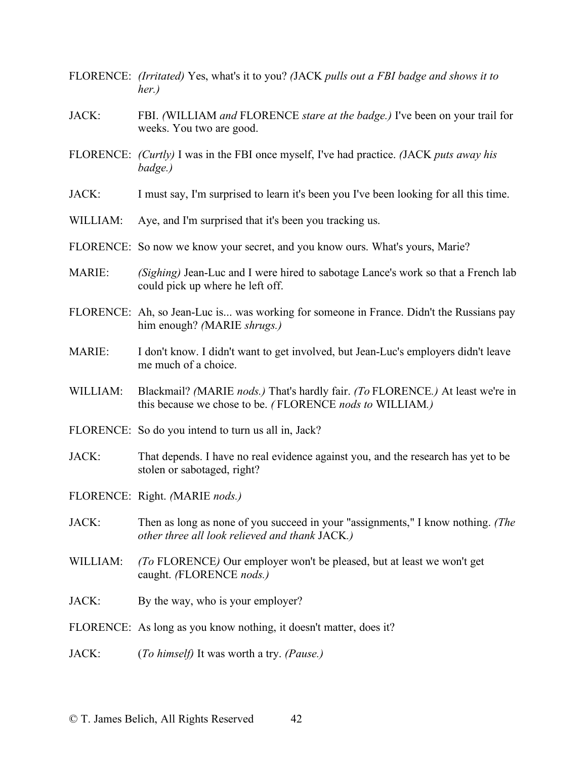- FLORENCE: *(Irritated)* Yes, what's it to you? *(*JACK *pulls out a FBI badge and shows it to her.)*
- JACK: FBI. *(*WILLIAM *and* FLORENCE *stare at the badge.)* I've been on your trail for weeks. You two are good.
- FLORENCE: *(Curtly)* I was in the FBI once myself, I've had practice. *(*JACK *puts away his badge.)*
- JACK: I must say, I'm surprised to learn it's been you I've been looking for all this time.
- WILLIAM: Aye, and I'm surprised that it's been you tracking us.
- FLORENCE: So now we know your secret, and you know ours. What's yours, Marie?
- MARIE: *(Sighing)* Jean-Luc and I were hired to sabotage Lance's work so that a French lab could pick up where he left off.
- FLORENCE: Ah, so Jean-Luc is... was working for someone in France. Didn't the Russians pay him enough? *(*MARIE *shrugs.)*
- MARIE: I don't know. I didn't want to get involved, but Jean-Luc's employers didn't leave me much of a choice.
- WILLIAM: Blackmail? *(*MARIE *nods.)* That's hardly fair. *(To* FLORENCE*.)* At least we're in this because we chose to be. *(* FLORENCE *nods to* WILLIAM*.)*
- FLORENCE: So do you intend to turn us all in, Jack?
- JACK: That depends. I have no real evidence against you, and the research has yet to be stolen or sabotaged, right?
- FLORENCE: Right. *(*MARIE *nods.)*
- JACK: Then as long as none of you succeed in your "assignments," I know nothing. *(The other three all look relieved and thank* JACK*.)*
- WILLIAM: *(To* FLORENCE*)* Our employer won't be pleased, but at least we won't get caught. *(*FLORENCE *nods.)*
- JACK: By the way, who is your employer?
- FLORENCE: As long as you know nothing, it doesn't matter, does it?
- JACK: (*To himself)* It was worth a try. *(Pause.)*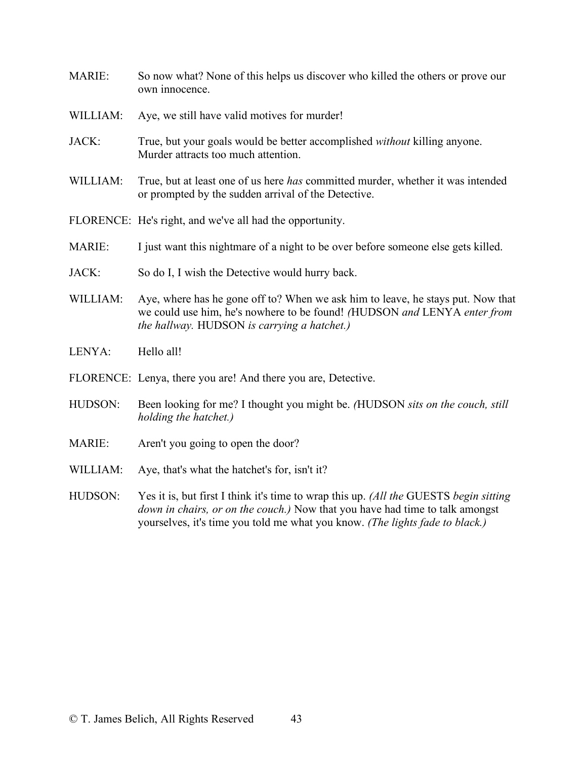- MARIE: So now what? None of this helps us discover who killed the others or prove our own innocence.
- WILLIAM: Aye, we still have valid motives for murder!
- JACK: True, but your goals would be better accomplished *without* killing anyone. Murder attracts too much attention.
- WILLIAM: True, but at least one of us here *has* committed murder, whether it was intended or prompted by the sudden arrival of the Detective.
- FLORENCE: He's right, and we've all had the opportunity.
- MARIE: I just want this nightmare of a night to be over before someone else gets killed.
- JACK: So do I, I wish the Detective would hurry back.
- WILLIAM: Aye, where has he gone off to? When we ask him to leave, he stays put. Now that we could use him, he's nowhere to be found! *(*HUDSON *and* LENYA *enter from the hallway.* HUDSON *is carrying a hatchet.)*
- LENYA: Hello all!
- FLORENCE: Lenya, there you are! And there you are, Detective.
- HUDSON: Been looking for me? I thought you might be. *(*HUDSON *sits on the couch, still holding the hatchet.)*
- MARIE: Aren't you going to open the door?
- WILLIAM: Aye, that's what the hatchet's for, isn't it?
- HUDSON: Yes it is, but first I think it's time to wrap this up. *(All the* GUESTS *begin sitting down in chairs, or on the couch.)* Now that you have had time to talk amongst yourselves, it's time you told me what you know. *(The lights fade to black.)*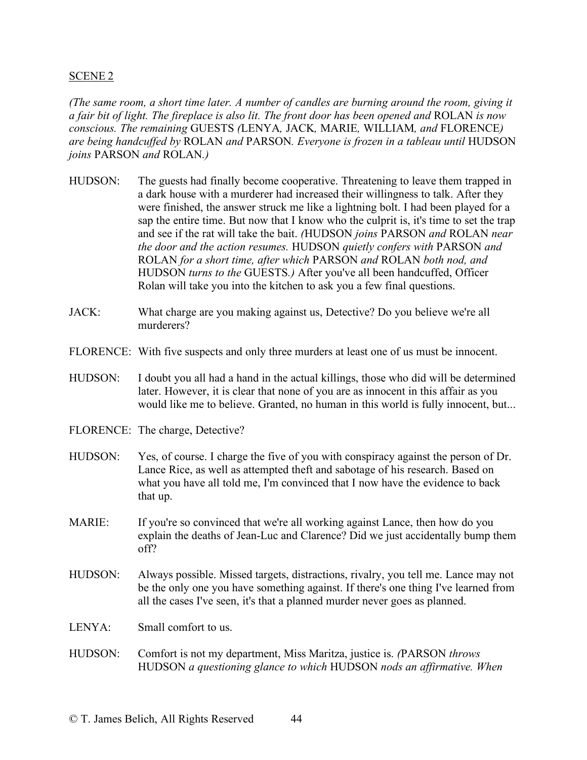### SCENE 2

*(The same room, a short time later. A number of candles are burning around the room, giving it a fair bit of light. The fireplace is also lit. The front door has been opened and* ROLAN *is now conscious. The remaining* GUESTS *(*LENYA*,* JACK*,* MARIE*,* WILLIAM*, and* FLORENCE*) are being handcuffed by* ROLAN *and* PARSON*. Everyone is frozen in a tableau until* HUDSON *joins* PARSON *and* ROLAN*.)*

- HUDSON: The guests had finally become cooperative. Threatening to leave them trapped in a dark house with a murderer had increased their willingness to talk. After they were finished, the answer struck me like a lightning bolt. I had been played for a sap the entire time. But now that I know who the culprit is, it's time to set the trap and see if the rat will take the bait. *(*HUDSON *joins* PARSON *and* ROLAN *near the door and the action resumes.* HUDSON *quietly confers with* PARSON *and*  ROLAN *for a short time, after which* PARSON *and* ROLAN *both nod, and*  HUDSON *turns to the* GUESTS*.)* After you've all been handcuffed, Officer Rolan will take you into the kitchen to ask you a few final questions.
- JACK: What charge are you making against us, Detective? Do you believe we're all murderers?
- FLORENCE: With five suspects and only three murders at least one of us must be innocent.
- HUDSON: I doubt you all had a hand in the actual killings, those who did will be determined later. However, it is clear that none of you are as innocent in this affair as you would like me to believe. Granted, no human in this world is fully innocent, but...
- FLORENCE: The charge, Detective?
- HUDSON: Yes, of course. I charge the five of you with conspiracy against the person of Dr. Lance Rice, as well as attempted theft and sabotage of his research. Based on what you have all told me, I'm convinced that I now have the evidence to back that up.
- MARIE: If you're so convinced that we're all working against Lance, then how do you explain the deaths of Jean-Luc and Clarence? Did we just accidentally bump them off?
- HUDSON: Always possible. Missed targets, distractions, rivalry, you tell me. Lance may not be the only one you have something against. If there's one thing I've learned from all the cases I've seen, it's that a planned murder never goes as planned.
- LENYA: Small comfort to us.
- HUDSON: Comfort is not my department, Miss Maritza, justice is. *(*PARSON *throws*  HUDSON *a questioning glance to which* HUDSON *nods an affirmative. When*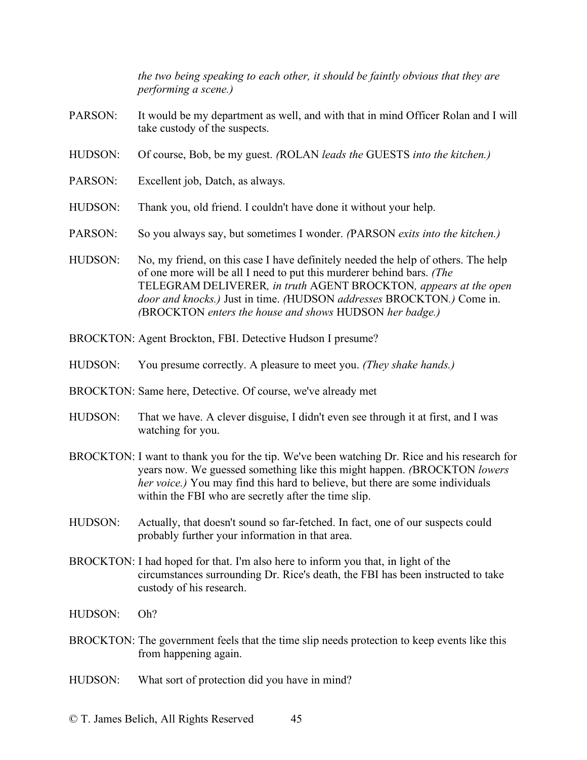*the two being speaking to each other, it should be faintly obvious that they are performing a scene.)*

- PARSON: It would be my department as well, and with that in mind Officer Rolan and I will take custody of the suspects.
- HUDSON: Of course, Bob, be my guest. *(*ROLAN *leads the* GUESTS *into the kitchen.)*
- PARSON: Excellent job, Datch, as always.
- HUDSON: Thank you, old friend. I couldn't have done it without your help.
- PARSON: So you always say, but sometimes I wonder. *(*PARSON *exits into the kitchen.)*
- HUDSON: No, my friend, on this case I have definitely needed the help of others. The help of one more will be all I need to put this murderer behind bars. *(The*  TELEGRAM DELIVERER*, in truth* AGENT BROCKTON*, appears at the open door and knocks.)* Just in time. *(*HUDSON *addresses* BROCKTON*.)* Come in. *(*BROCKTON *enters the house and shows* HUDSON *her badge.)*
- BROCKTON: Agent Brockton, FBI. Detective Hudson I presume?
- HUDSON: You presume correctly. A pleasure to meet you. *(They shake hands.)*
- BROCKTON: Same here, Detective. Of course, we've already met
- HUDSON: That we have. A clever disguise, I didn't even see through it at first, and I was watching for you.
- BROCKTON: I want to thank you for the tip. We've been watching Dr. Rice and his research for years now. We guessed something like this might happen. *(*BROCKTON *lowers her voice.)* You may find this hard to believe, but there are some individuals within the FBI who are secretly after the time slip.
- HUDSON: Actually, that doesn't sound so far-fetched. In fact, one of our suspects could probably further your information in that area.
- BROCKTON: I had hoped for that. I'm also here to inform you that, in light of the circumstances surrounding Dr. Rice's death, the FBI has been instructed to take custody of his research.
- HUDSON: Oh?
- BROCKTON: The government feels that the time slip needs protection to keep events like this from happening again.
- HUDSON: What sort of protection did you have in mind?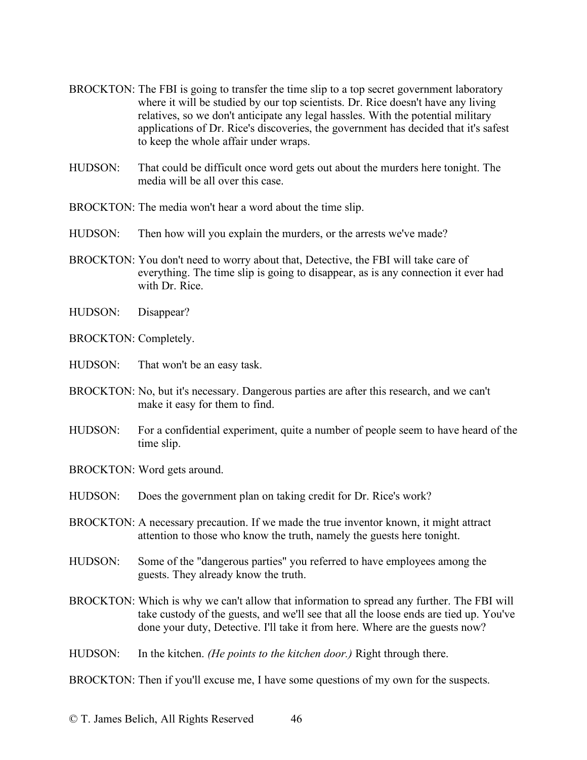- BROCKTON: The FBI is going to transfer the time slip to a top secret government laboratory where it will be studied by our top scientists. Dr. Rice doesn't have any living relatives, so we don't anticipate any legal hassles. With the potential military applications of Dr. Rice's discoveries, the government has decided that it's safest to keep the whole affair under wraps.
- HUDSON: That could be difficult once word gets out about the murders here tonight. The media will be all over this case.
- BROCKTON: The media won't hear a word about the time slip.
- HUDSON: Then how will you explain the murders, or the arrests we've made?
- BROCKTON: You don't need to worry about that, Detective, the FBI will take care of everything. The time slip is going to disappear, as is any connection it ever had with Dr. Rice.
- HUDSON: Disappear?
- BROCKTON: Completely.
- HUDSON: That won't be an easy task.
- BROCKTON: No, but it's necessary. Dangerous parties are after this research, and we can't make it easy for them to find.
- HUDSON: For a confidential experiment, quite a number of people seem to have heard of the time slip.
- BROCKTON: Word gets around.
- HUDSON: Does the government plan on taking credit for Dr. Rice's work?
- BROCKTON: A necessary precaution. If we made the true inventor known, it might attract attention to those who know the truth, namely the guests here tonight.
- HUDSON: Some of the "dangerous parties" you referred to have employees among the guests. They already know the truth.
- BROCKTON: Which is why we can't allow that information to spread any further. The FBI will take custody of the guests, and we'll see that all the loose ends are tied up. You've done your duty, Detective. I'll take it from here. Where are the guests now?
- HUDSON: In the kitchen. *(He points to the kitchen door.)* Right through there.

BROCKTON: Then if you'll excuse me, I have some questions of my own for the suspects.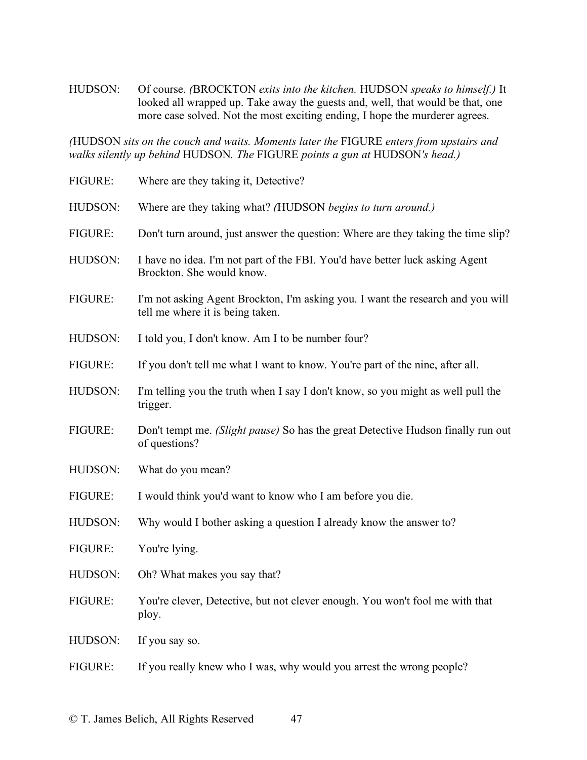HUDSON: Of course. *(*BROCKTON *exits into the kitchen.* HUDSON *speaks to himself.)* It looked all wrapped up. Take away the guests and, well, that would be that, one more case solved. Not the most exciting ending, I hope the murderer agrees.

*(*HUDSON *sits on the couch and waits. Moments later the* FIGURE *enters from upstairs and walks silently up behind* HUDSON*. The* FIGURE *points a gun at* HUDSON*'s head.)*

| Where are they taking it, Detective?                                                                                |
|---------------------------------------------------------------------------------------------------------------------|
| Where are they taking what? (HUDSON begins to turn around.)                                                         |
| Don't turn around, just answer the question: Where are they taking the time slip?                                   |
| I have no idea. I'm not part of the FBI. You'd have better luck asking Agent<br>Brockton. She would know.           |
| I'm not asking Agent Brockton, I'm asking you. I want the research and you will<br>tell me where it is being taken. |
| I told you, I don't know. Am I to be number four?                                                                   |
| If you don't tell me what I want to know. You're part of the nine, after all.                                       |
| I'm telling you the truth when I say I don't know, so you might as well pull the<br>trigger.                        |
| Don't tempt me. (Slight pause) So has the great Detective Hudson finally run out<br>of questions?                   |
| What do you mean?                                                                                                   |
| I would think you'd want to know who I am before you die.                                                           |
| Why would I bother asking a question I already know the answer to?                                                  |
| You're lying.                                                                                                       |
| Oh? What makes you say that?                                                                                        |
| You're clever, Detective, but not clever enough. You won't fool me with that<br>ploy.                               |
| If you say so.                                                                                                      |
| If you really knew who I was, why would you arrest the wrong people?                                                |
|                                                                                                                     |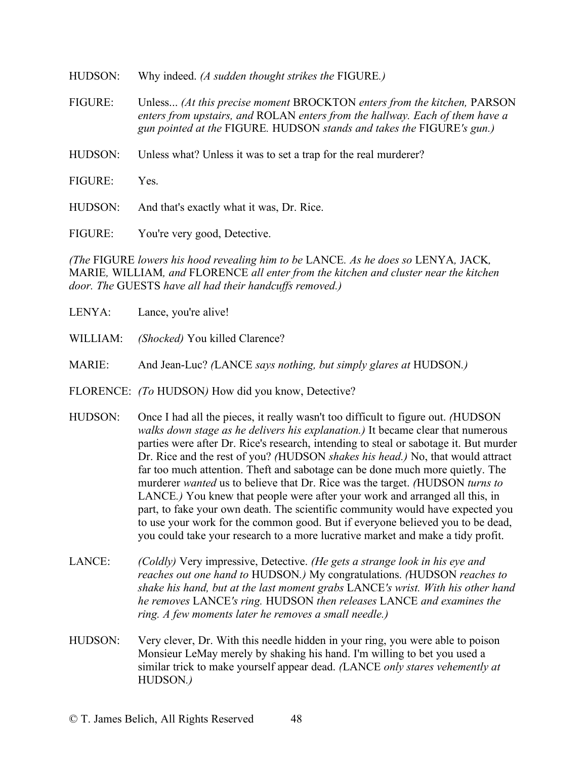| HUDSON:        | Why indeed. (A sudden thought strikes the FIGURE.)                                                                                                                                                                                      |
|----------------|-----------------------------------------------------------------------------------------------------------------------------------------------------------------------------------------------------------------------------------------|
| <b>FIGURE:</b> | Unless <i>(At this precise moment BROCKTON enters from the kitchen, PARSON</i><br>enters from upstairs, and ROLAN enters from the hallway. Each of them have a<br>gun pointed at the FIGURE. HUDSON stands and takes the FIGURE's gun.) |
| HUDSON:        | Unless what? Unless it was to set a trap for the real murderer?                                                                                                                                                                         |
| <b>FIGURE:</b> | Yes-                                                                                                                                                                                                                                    |
| HUDSON:        | And that's exactly what it was, Dr. Rice.                                                                                                                                                                                               |
| <b>FIGURE:</b> | You're very good, Detective.                                                                                                                                                                                                            |

*(The* FIGURE *lowers his hood revealing him to be* LANCE*. As he does so* LENYA*,* JACK*,*  MARIE*,* WILLIAM*, and* FLORENCE *all enter from the kitchen and cluster near the kitchen door. The* GUESTS *have all had their handcuffs removed.)*

- LENYA: Lance, you're alive!
- WILLIAM: *(Shocked)* You killed Clarence?
- MARIE: And Jean-Luc? *(*LANCE *says nothing, but simply glares at* HUDSON*.)*
- FLORENCE: *(To* HUDSON*)* How did you know, Detective?
- HUDSON: Once I had all the pieces, it really wasn't too difficult to figure out. *(*HUDSON *walks down stage as he delivers his explanation.)* It became clear that numerous parties were after Dr. Rice's research, intending to steal or sabotage it. But murder Dr. Rice and the rest of you? *(*HUDSON *shakes his head.)* No, that would attract far too much attention. Theft and sabotage can be done much more quietly. The murderer *wanted* us to believe that Dr. Rice was the target. *(*HUDSON *turns to*  LANCE*.)* You knew that people were after your work and arranged all this, in part, to fake your own death. The scientific community would have expected you to use your work for the common good. But if everyone believed you to be dead, you could take your research to a more lucrative market and make a tidy profit.
- LANCE: *(Coldly)* Very impressive, Detective. *(He gets a strange look in his eye and reaches out one hand to* HUDSON*.)* My congratulations. *(*HUDSON *reaches to shake his hand, but at the last moment grabs* LANCE*'s wrist. With his other hand he removes* LANCE*'s ring.* HUDSON *then releases* LANCE *and examines the ring. A few moments later he removes a small needle.)*
- HUDSON: Very clever, Dr. With this needle hidden in your ring, you were able to poison Monsieur LeMay merely by shaking his hand. I'm willing to bet you used a similar trick to make yourself appear dead. *(*LANCE *only stares vehemently at*  HUDSON*.)*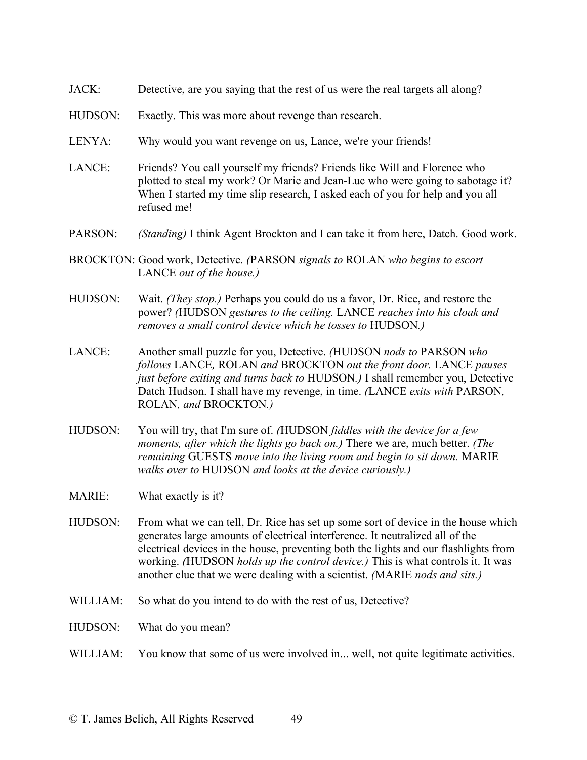- JACK: Detective, are you saying that the rest of us were the real targets all along?
- HUDSON: Exactly. This was more about revenge than research.
- LENYA: Why would you want revenge on us, Lance, we're your friends!
- LANCE: Friends? You call yourself my friends? Friends like Will and Florence who plotted to steal my work? Or Marie and Jean-Luc who were going to sabotage it? When I started my time slip research, I asked each of you for help and you all refused me!
- PARSON: *(Standing)* I think Agent Brockton and I can take it from here, Datch. Good work.
- BROCKTON: Good work, Detective. *(*PARSON *signals to* ROLAN *who begins to escort*  LANCE *out of the house.)*
- HUDSON: Wait. *(They stop.)* Perhaps you could do us a favor, Dr. Rice, and restore the power? *(*HUDSON *gestures to the ceiling.* LANCE *reaches into his cloak and removes a small control device which he tosses to* HUDSON*.)*
- LANCE: Another small puzzle for you, Detective. *(*HUDSON *nods to* PARSON *who follows* LANCE*,* ROLAN *and* BROCKTON *out the front door.* LANCE *pauses just before exiting and turns back to* HUDSON.) I shall remember you, Detective Datch Hudson. I shall have my revenge, in time. *(*LANCE *exits with* PARSON*,*  ROLAN*, and* BROCKTON*.)*
- HUDSON: You will try, that I'm sure of. *(*HUDSON *fiddles with the device for a few moments, after which the lights go back on.)* There we are, much better. *(The remaining* GUESTS *move into the living room and begin to sit down.* MARIE *walks over to* HUDSON *and looks at the device curiously.)*
- MARIE: What exactly is it?
- HUDSON: From what we can tell, Dr. Rice has set up some sort of device in the house which generates large amounts of electrical interference. It neutralized all of the electrical devices in the house, preventing both the lights and our flashlights from working. *(*HUDSON *holds up the control device.)* This is what controls it. It was another clue that we were dealing with a scientist. *(*MARIE *nods and sits.)*
- WILLIAM: So what do you intend to do with the rest of us, Detective?
- HUDSON: What do you mean?
- WILLIAM: You know that some of us were involved in... well, not quite legitimate activities.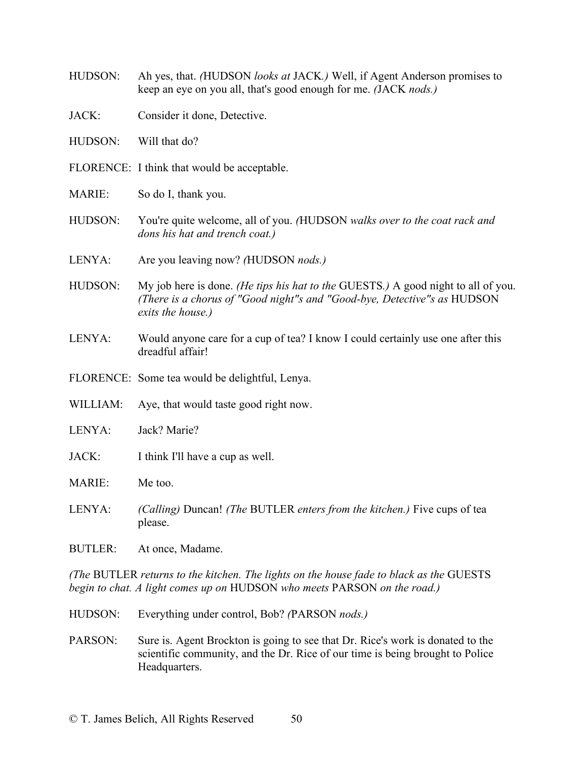| HUDSON:                                                                                                                                                             | Ah yes, that. (HUDSON looks at JACK.) Well, if Agent Anderson promises to<br>keep an eye on you all, that's good enough for me. (JACK nods.)                                       |  |
|---------------------------------------------------------------------------------------------------------------------------------------------------------------------|------------------------------------------------------------------------------------------------------------------------------------------------------------------------------------|--|
| JACK:                                                                                                                                                               | Consider it done, Detective.                                                                                                                                                       |  |
| HUDSON:                                                                                                                                                             | Will that do?                                                                                                                                                                      |  |
|                                                                                                                                                                     | FLORENCE: I think that would be acceptable.                                                                                                                                        |  |
| <b>MARIE:</b>                                                                                                                                                       | So do I, thank you.                                                                                                                                                                |  |
| HUDSON:                                                                                                                                                             | You're quite welcome, all of you. (HUDSON walks over to the coat rack and<br>dons his hat and trench coat.)                                                                        |  |
| LENYA:                                                                                                                                                              | Are you leaving now? (HUDSON <i>nods.)</i>                                                                                                                                         |  |
| HUDSON:                                                                                                                                                             | My job here is done. (He tips his hat to the GUESTS.) A good night to all of you.<br>(There is a chorus of "Good night"s and "Good-bye, Detective"s as HUDSON<br>exits the house.) |  |
| LENYA:                                                                                                                                                              | Would anyone care for a cup of tea? I know I could certainly use one after this<br>dreadful affair!                                                                                |  |
|                                                                                                                                                                     | FLORENCE: Some tea would be delightful, Lenya.                                                                                                                                     |  |
| WILLIAM:                                                                                                                                                            | Aye, that would taste good right now.                                                                                                                                              |  |
| LENYA:                                                                                                                                                              | Jack? Marie?                                                                                                                                                                       |  |
| JACK:                                                                                                                                                               | I think I'll have a cup as well.                                                                                                                                                   |  |
| <b>MARIE:</b>                                                                                                                                                       | Me too.                                                                                                                                                                            |  |
| LENYA:                                                                                                                                                              | (Calling) Duncan! (The BUTLER enters from the kitchen.) Five cups of tea<br>please.                                                                                                |  |
| <b>BUTLER:</b>                                                                                                                                                      | At once, Madame.                                                                                                                                                                   |  |
| (The BUTLER returns to the kitchen. The lights on the house fade to black as the GUESTS<br>begin to chat. A light comes up on HUDSON who meets PARSON on the road.) |                                                                                                                                                                                    |  |

- HUDSON: Everything under control, Bob? *(*PARSON *nods.)*
- PARSON: Sure is. Agent Brockton is going to see that Dr. Rice's work is donated to the scientific community, and the Dr. Rice of our time is being brought to Police Headquarters.